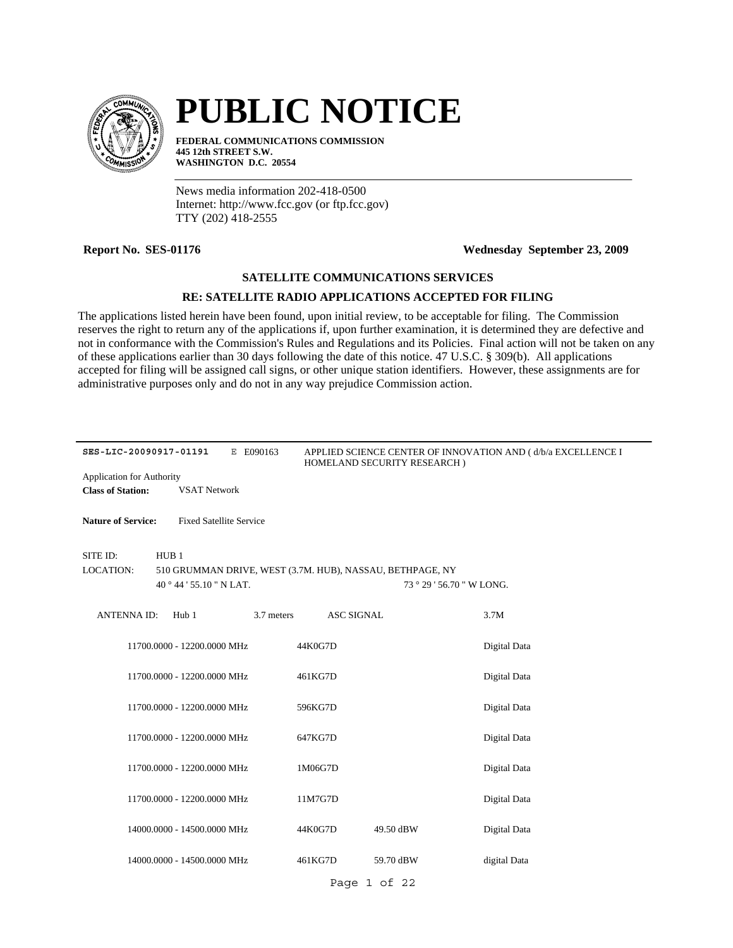

# **PUBLIC NOTICE**

**FEDERAL COMMUNICATIONS COMMISSION 445 12th STREET S.W. WASHINGTON D.C. 20554**

News media information 202-418-0500 Internet: http://www.fcc.gov (or ftp.fcc.gov) TTY (202) 418-2555

#### **Report No. SES-01176 Wednesday September 23, 2009**

### **SATELLITE COMMUNICATIONS SERVICES**

### **RE: SATELLITE RADIO APPLICATIONS ACCEPTED FOR FILING**

The applications listed herein have been found, upon initial review, to be acceptable for filing. The Commission reserves the right to return any of the applications if, upon further examination, it is determined they are defective and not in conformance with the Commission's Rules and Regulations and its Policies. Final action will not be taken on any of these applications earlier than 30 days following the date of this notice. 47 U.S.C. § 309(b). All applications accepted for filing will be assigned call signs, or other unique station identifiers. However, these assignments are for administrative purposes only and do not in any way prejudice Commission action.

| SES-LIC-20090917-01191    |                                | E E090163  |                   | HOMELAND SECURITY RESEARCH)                               | APPLIED SCIENCE CENTER OF INNOVATION AND (d/b/a EXCELLENCE I |
|---------------------------|--------------------------------|------------|-------------------|-----------------------------------------------------------|--------------------------------------------------------------|
| Application for Authority |                                |            |                   |                                                           |                                                              |
| <b>Class of Station:</b>  | <b>VSAT Network</b>            |            |                   |                                                           |                                                              |
|                           |                                |            |                   |                                                           |                                                              |
| <b>Nature of Service:</b> | <b>Fixed Satellite Service</b> |            |                   |                                                           |                                                              |
| SITE ID:                  | HUB <sub>1</sub>               |            |                   |                                                           |                                                              |
| LOCATION:                 |                                |            |                   | 510 GRUMMAN DRIVE, WEST (3.7M. HUB), NASSAU, BETHPAGE, NY |                                                              |
|                           | 40 ° 44 ' 55.10 " N LAT.       |            |                   | 73 ° 29 ' 56.70 " W LONG.                                 |                                                              |
|                           |                                |            |                   |                                                           |                                                              |
| <b>ANTENNA ID:</b>        | Hub 1                          | 3.7 meters | <b>ASC SIGNAL</b> |                                                           | 3.7M                                                         |
|                           | 11700.0000 - 12200.0000 MHz    |            | 44K0G7D           |                                                           | Digital Data                                                 |
|                           | 11700.0000 - 12200.0000 MHz    |            | 461KG7D           |                                                           | Digital Data                                                 |
|                           |                                |            |                   |                                                           |                                                              |
|                           | 11700.0000 - 12200.0000 MHz    |            | 596KG7D           |                                                           | Digital Data                                                 |
|                           | 11700.0000 - 12200.0000 MHz    |            | 647KG7D           |                                                           | Digital Data                                                 |
|                           |                                |            |                   |                                                           |                                                              |
|                           | 11700.0000 - 12200.0000 MHz    |            | 1M06G7D           |                                                           | Digital Data                                                 |
|                           | 11700.0000 - 12200.0000 MHz    |            | 11M7G7D           |                                                           | Digital Data                                                 |
|                           |                                |            |                   |                                                           |                                                              |
|                           | 14000.0000 - 14500.0000 MHz    |            | 44K0G7D           | 49.50 dBW                                                 | Digital Data                                                 |
|                           | 14000.0000 - 14500.0000 MHz    |            | 461KG7D           | 59.70 dBW                                                 | digital Data                                                 |
|                           |                                |            |                   | Page 1 of 22                                              |                                                              |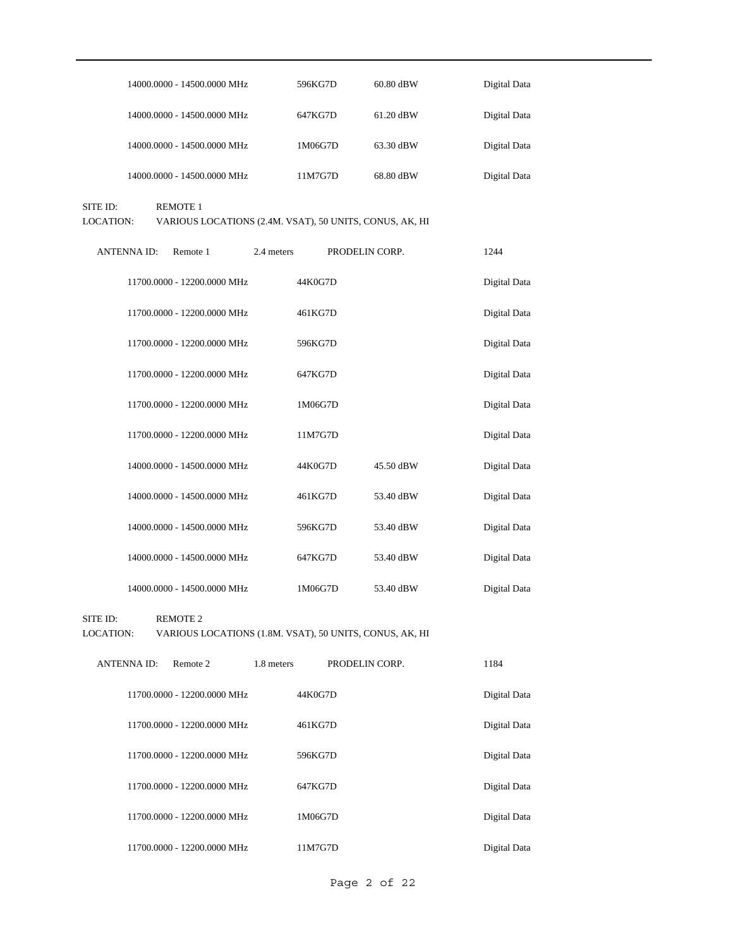| 14000.0000 - 14500.0000 MHz | 596KG7D | 60.80 dBW   | Digital Data |
|-----------------------------|---------|-------------|--------------|
| 14000.0000 - 14500.0000 MHz | 647KG7D | $61.20$ dBW | Digital Data |
| 14000.0000 - 14500.0000 MHz | 1M06G7D | 63.30 dBW   | Digital Data |
| 14000.0000 - 14500.0000 MHz | 11M7G7D | 68.80 dBW   | Digital Data |

SITE ID: REMOTE 1

LOCATION: VARIOUS LOCATIONS (2.4M. VSAT), 50 UNITS, CONUS, AK, HI

| <b>ANTENNA ID:</b> | Remote 1                    | 2.4 meters | PRODELIN CORP. |           | 1244         |
|--------------------|-----------------------------|------------|----------------|-----------|--------------|
|                    | 11700.0000 - 12200.0000 MHz | 44K0G7D    |                |           | Digital Data |
|                    | 11700.0000 - 12200.0000 MHz | 461KG7D    |                |           | Digital Data |
|                    | 11700.0000 - 12200.0000 MHz | 596KG7D    |                |           | Digital Data |
|                    | 11700.0000 - 12200.0000 MHz | 647KG7D    |                |           | Digital Data |
|                    | 11700.0000 - 12200.0000 MHz | 1M06G7D    |                |           | Digital Data |
|                    | 11700.0000 - 12200.0000 MHz | 11M7G7D    |                |           | Digital Data |
|                    | 14000.0000 - 14500.0000 MHz | 44K0G7D    |                | 45.50 dBW | Digital Data |
|                    | 14000.0000 - 14500.0000 MHz | 461KG7D    |                | 53.40 dBW | Digital Data |
|                    | 14000.0000 - 14500.0000 MHz | 596KG7D    |                | 53.40 dBW | Digital Data |
|                    | 14000.0000 - 14500.0000 MHz | 647KG7D    |                | 53.40 dBW | Digital Data |
|                    | 14000.0000 - 14500.0000 MHz | 1M06G7D    |                | 53.40 dBW | Digital Data |

SITE ID: REMOTE 2

LOCATION: VARIOUS LOCATIONS (1.8M. VSAT), 50 UNITS, CONUS, AK, HI

| <b>ANTENNA ID:</b><br>Remote 2 | 1.8 meters | PRODELIN CORP. | 1184         |
|--------------------------------|------------|----------------|--------------|
| 11700.0000 - 12200.0000 MHz    | 44K0G7D    |                | Digital Data |
| 11700.0000 - 12200.0000 MHz    | 461KG7D    |                | Digital Data |
| 11700.0000 - 12200.0000 MHz    | 596KG7D    |                | Digital Data |
| 11700.0000 - 12200.0000 MHz    | 647KG7D    |                | Digital Data |
| 11700.0000 - 12200.0000 MHz    | 1M06G7D    |                | Digital Data |
| 11700.0000 - 12200.0000 MHz    | 11M7G7D    |                | Digital Data |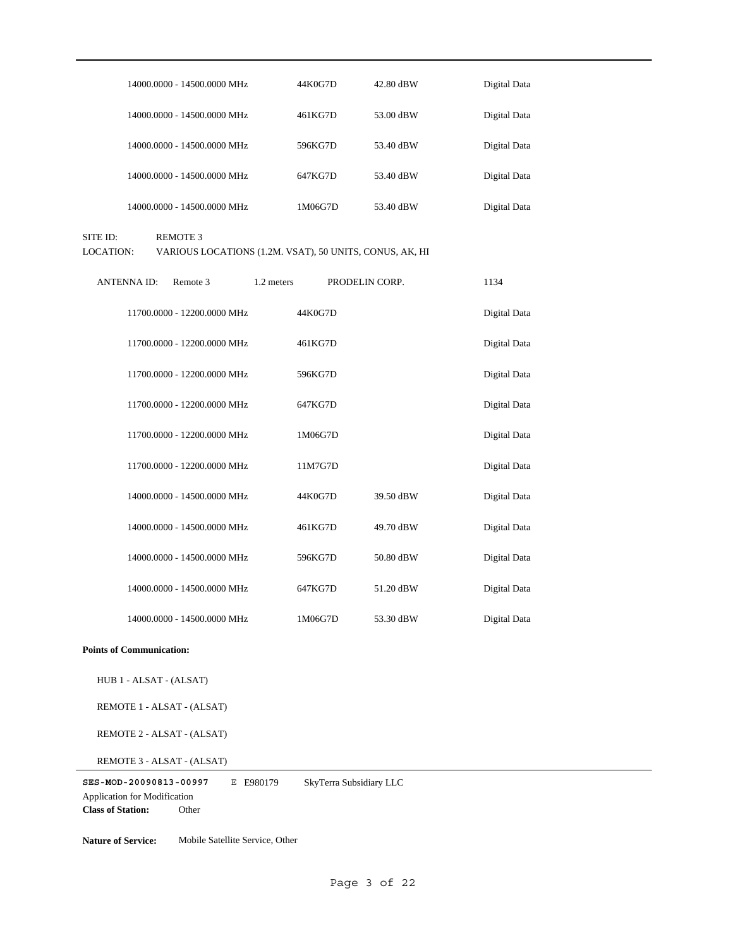| 14000.0000 - 14500.0000 MHz | 44K0G7D | 42.80 dBW | Digital Data |
|-----------------------------|---------|-----------|--------------|
| 14000.0000 - 14500.0000 MHz | 461KG7D | 53.00 dBW | Digital Data |
| 14000.0000 - 14500.0000 MHz | 596KG7D | 53.40 dBW | Digital Data |
| 14000.0000 - 14500.0000 MHz | 647KG7D | 53.40 dBW | Digital Data |
| 14000.0000 - 14500.0000 MHz | 1M06G7D | 53.40 dBW | Digital Data |

SITE ID: REMOTE 3

LOCATION: VARIOUS LOCATIONS (1.2M. VSAT), 50 UNITS, CONUS, AK, HI

| <b>ANTENNAID:</b> | Remote 3                    | 1.2 meters | PRODELIN CORP. |           | 1134         |
|-------------------|-----------------------------|------------|----------------|-----------|--------------|
|                   | 11700.0000 - 12200.0000 MHz |            | 44K0G7D        |           | Digital Data |
|                   | 11700.0000 - 12200.0000 MHz |            | 461KG7D        |           | Digital Data |
|                   | 11700.0000 - 12200.0000 MHz |            | 596KG7D        |           | Digital Data |
|                   | 11700.0000 - 12200.0000 MHz |            | 647KG7D        |           | Digital Data |
|                   | 11700.0000 - 12200.0000 MHz |            | 1M06G7D        |           | Digital Data |
|                   | 11700.0000 - 12200.0000 MHz |            | 11M7G7D        |           | Digital Data |
|                   | 14000.0000 - 14500.0000 MHz |            | 44K0G7D        | 39.50 dBW | Digital Data |
|                   | 14000.0000 - 14500.0000 MHz |            | 461KG7D        | 49.70 dBW | Digital Data |
|                   | 14000.0000 - 14500.0000 MHz |            | 596KG7D        | 50.80 dBW | Digital Data |
|                   | 14000.0000 - 14500.0000 MHz |            | 647KG7D        | 51.20 dBW | Digital Data |
|                   | 14000.0000 - 14500.0000 MHz |            | 1M06G7D        | 53.30 dBW | Digital Data |

#### **Points of Communication:**

HUB 1 - ALSAT - (ALSAT)

REMOTE 1 - ALSAT - (ALSAT)

REMOTE 2 - ALSAT - (ALSAT)

REMOTE 3 - ALSAT - (ALSAT)

**SES-MOD-20090813-00997** E E980179 **Class of Station:** Other Application for Modification SkyTerra Subsidiary LLC

**Nature of Service:** Mobile Satellite Service, Other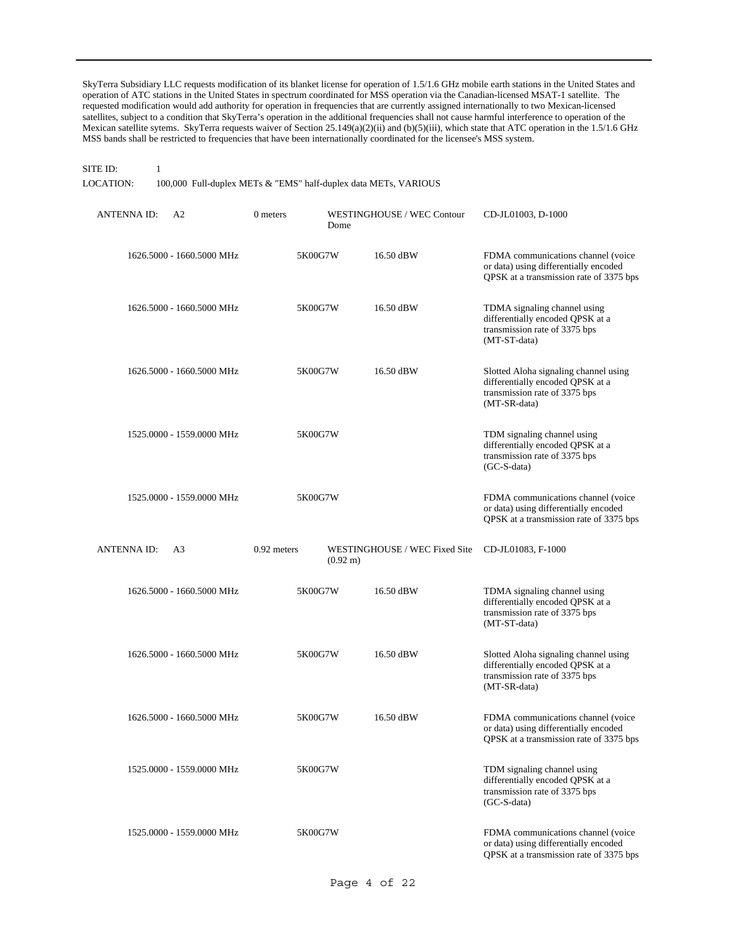SkyTerra Subsidiary LLC requests modification of its blanket license for operation of 1.5/1.6 GHz mobile earth stations in the United States and operation of ATC stations in the United States in spectrum coordinated for MSS operation via the Canadian-licensed MSAT-1 satellite. The requested modification would add authority for operation in frequencies that are currently assigned internationally to two Mexican-licensed satellites, subject to a condition that SkyTerra's operation in the additional frequencies shall not cause harmful interference to operation of the Mexican satellite sytems. SkyTerra requests waiver of Section 25.149(a)(2)(ii) and (b)(5)(iii), which state that ATC operation in the 1.5/1.6 GHz MSS bands shall be restricted to frequencies that have been internationally coordinated for the licensee's MSS system.

## SITE ID: 1

LOCATION: 100,000 Full-duplex METs & "EMS" half-duplex data METs, VARIOUS

| <b>ANTENNA ID:</b> | A2                        | 0 meters<br>Dome                  | WESTINGHOUSE / WEC Contour    | CD-JL01003, D-1000                                                                                                         |
|--------------------|---------------------------|-----------------------------------|-------------------------------|----------------------------------------------------------------------------------------------------------------------------|
|                    | 1626.5000 - 1660.5000 MHz | 5K00G7W                           | 16.50 dBW                     | FDMA communications channel (voice<br>or data) using differentially encoded<br>QPSK at a transmission rate of 3375 bps     |
|                    | 1626.5000 - 1660.5000 MHz | 5K00G7W                           | 16.50 dBW                     | TDMA signaling channel using<br>differentially encoded QPSK at a<br>transmission rate of 3375 bps<br>(MT-ST-data)          |
|                    | 1626.5000 - 1660.5000 MHz | 5K00G7W                           | 16.50 dBW                     | Slotted Aloha signaling channel using<br>differentially encoded QPSK at a<br>transmission rate of 3375 bps<br>(MT-SR-data) |
|                    | 1525.0000 - 1559.0000 MHz | 5K00G7W                           |                               | TDM signaling channel using<br>differentially encoded QPSK at a<br>transmission rate of 3375 bps<br>$(GC-S-data)$          |
|                    | 1525.0000 - 1559.0000 MHz | 5K00G7W                           |                               | FDMA communications channel (voice<br>or data) using differentially encoded<br>QPSK at a transmission rate of 3375 bps     |
|                    |                           |                                   |                               |                                                                                                                            |
| ANTENNA ID:        | A3                        | 0.92 meters<br>$(0.92 \text{ m})$ | WESTINGHOUSE / WEC Fixed Site | CD-JL01083, F-1000                                                                                                         |
|                    | 1626.5000 - 1660.5000 MHz | 5K00G7W                           | 16.50 dBW                     | TDMA signaling channel using<br>differentially encoded QPSK at a<br>transmission rate of 3375 bps<br>(MT-ST-data)          |
|                    | 1626.5000 - 1660.5000 MHz | 5K00G7W                           | 16.50 dBW                     | Slotted Aloha signaling channel using<br>differentially encoded QPSK at a<br>transmission rate of 3375 bps<br>(MT-SR-data) |
|                    | 1626.5000 - 1660.5000 MHz | 5K00G7W                           | 16.50 dBW                     | FDMA communications channel (voice<br>or data) using differentially encoded<br>QPSK at a transmission rate of 3375 bps     |
|                    | 1525,0000 - 1559,0000 MHz | 5K00G7W                           |                               | TDM signaling channel using<br>differentially encoded QPSK at a<br>transmission rate of 3375 bps<br>$(GC-S-data)$          |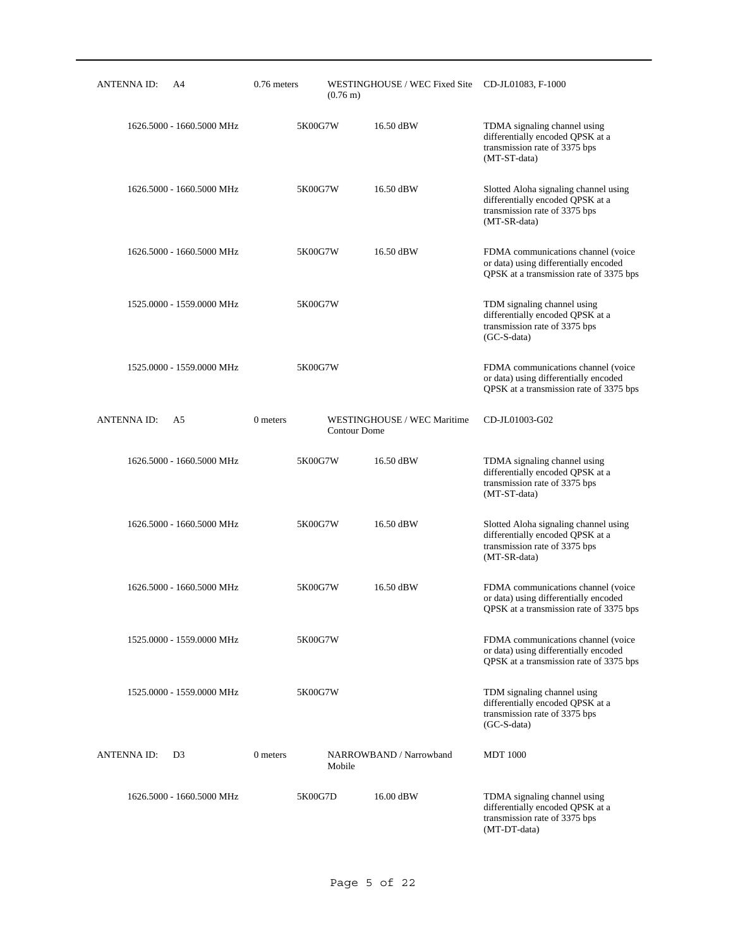| ANTENNA ID:        | A4                        | 0.76 meters | $(0.76 \text{ m})$  | WESTINGHOUSE / WEC Fixed Site CD-JL01083, F-1000 |                                                                                                                            |
|--------------------|---------------------------|-------------|---------------------|--------------------------------------------------|----------------------------------------------------------------------------------------------------------------------------|
|                    | 1626.5000 - 1660.5000 MHz |             | 5K00G7W             | 16.50 dBW                                        | TDMA signaling channel using<br>differentially encoded QPSK at a<br>transmission rate of 3375 bps<br>(MT-ST-data)          |
|                    | 1626.5000 - 1660.5000 MHz |             | 5K00G7W             | 16.50 dBW                                        | Slotted Aloha signaling channel using<br>differentially encoded QPSK at a<br>transmission rate of 3375 bps<br>(MT-SR-data) |
|                    | 1626.5000 - 1660.5000 MHz |             | 5K00G7W             | 16.50 dBW                                        | FDMA communications channel (voice<br>or data) using differentially encoded<br>QPSK at a transmission rate of 3375 bps     |
|                    | 1525.0000 - 1559.0000 MHz |             | 5K00G7W             |                                                  | TDM signaling channel using<br>differentially encoded QPSK at a<br>transmission rate of 3375 bps<br>$(GC-S-data)$          |
|                    | 1525.0000 - 1559.0000 MHz |             | 5K00G7W             |                                                  | FDMA communications channel (voice<br>or data) using differentially encoded<br>QPSK at a transmission rate of 3375 bps     |
| <b>ANTENNA ID:</b> | A5                        | 0 meters    | <b>Contour Dome</b> | WESTINGHOUSE / WEC Maritime                      | CD-JL01003-G02                                                                                                             |
|                    | 1626.5000 - 1660.5000 MHz |             | 5K00G7W             | 16.50 dBW                                        | TDMA signaling channel using<br>differentially encoded QPSK at a<br>transmission rate of 3375 bps<br>(MT-ST-data)          |
|                    | 1626.5000 - 1660.5000 MHz |             | 5K00G7W             | 16.50 dBW                                        | Slotted Aloha signaling channel using<br>differentially encoded QPSK at a<br>transmission rate of 3375 bps<br>(MT-SR-data) |
|                    | 1626.5000 - 1660.5000 MHz |             | 5K00G7W             | 16.50 dBW                                        | FDMA communications channel (voice<br>or data) using differentially encoded<br>QPSK at a transmission rate of 3375 bps     |
|                    | 1525.0000 - 1559.0000 MHz |             | 5K00G7W             |                                                  | FDMA communications channel (voice<br>or data) using differentially encoded<br>QPSK at a transmission rate of 3375 bps     |
|                    | 1525,0000 - 1559,0000 MHz |             | 5K00G7W             |                                                  | TDM signaling channel using<br>differentially encoded QPSK at a<br>transmission rate of 3375 bps<br>$(GC-S-data)$          |
| <b>ANTENNAID:</b>  | D <sub>3</sub>            | 0 meters    | Mobile              | NARROWBAND / Narrowband                          | <b>MDT</b> 1000                                                                                                            |
|                    | 1626.5000 - 1660.5000 MHz |             | 5K00G7D             | 16.00 dBW                                        | TDMA signaling channel using<br>differentially encoded QPSK at a<br>transmission rate of 3375 bps<br>(MT-DT-data)          |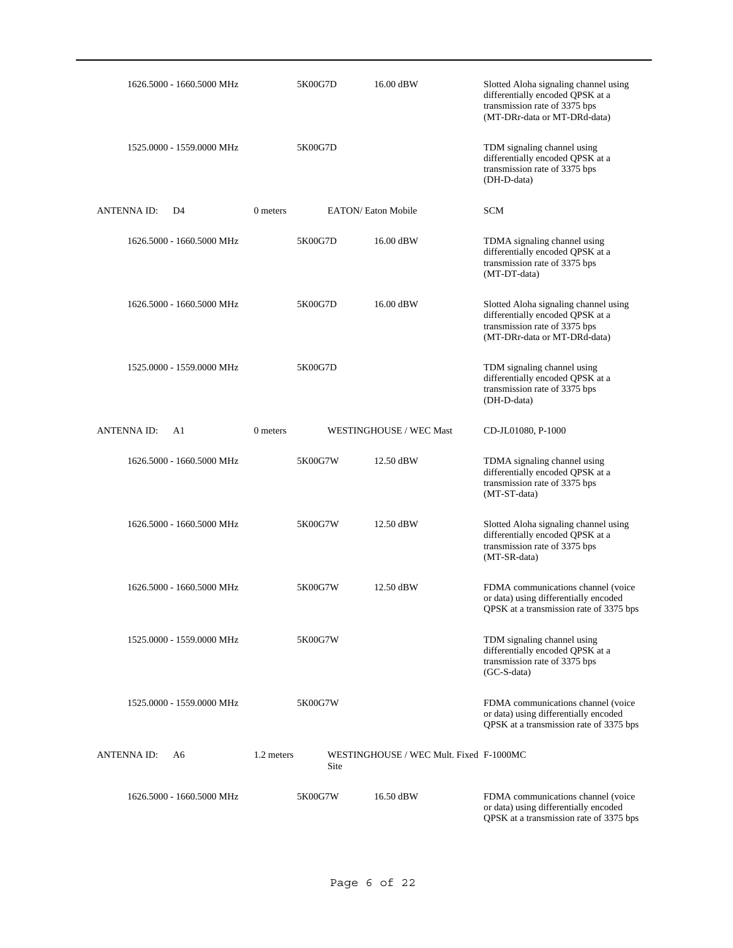|                    | 1626.5000 - 1660.5000 MHz |            | 5K00G7D | 16.00 dBW                               | Slotted Aloha signaling channel using<br>differentially encoded QPSK at a<br>transmission rate of 3375 bps<br>(MT-DRr-data or MT-DRd-data) |
|--------------------|---------------------------|------------|---------|-----------------------------------------|--------------------------------------------------------------------------------------------------------------------------------------------|
|                    | 1525.0000 - 1559.0000 MHz |            | 5K00G7D |                                         | TDM signaling channel using<br>differentially encoded QPSK at a<br>transmission rate of 3375 bps<br>(DH-D-data)                            |
| <b>ANTENNAID:</b>  | D4                        | 0 meters   |         | <b>EATON/ Eaton Mobile</b>              | <b>SCM</b>                                                                                                                                 |
|                    | 1626.5000 - 1660.5000 MHz |            | 5K00G7D | 16.00 dBW                               | TDMA signaling channel using<br>differentially encoded QPSK at a<br>transmission rate of 3375 bps<br>(MT-DT-data)                          |
|                    | 1626.5000 - 1660.5000 MHz |            | 5K00G7D | 16.00 dBW                               | Slotted Aloha signaling channel using<br>differentially encoded QPSK at a<br>transmission rate of 3375 bps<br>(MT-DRr-data or MT-DRd-data) |
|                    | 1525.0000 - 1559.0000 MHz |            | 5K00G7D |                                         | TDM signaling channel using<br>differentially encoded QPSK at a<br>transmission rate of 3375 bps<br>(DH-D-data)                            |
| <b>ANTENNA ID:</b> | A <sub>1</sub>            | 0 meters   |         | WESTINGHOUSE / WEC Mast                 | CD-JL01080, P-1000                                                                                                                         |
|                    | 1626.5000 - 1660.5000 MHz |            | 5K00G7W | 12.50 dBW                               | TDMA signaling channel using<br>differentially encoded QPSK at a<br>transmission rate of 3375 bps<br>(MT-ST-data)                          |
|                    | 1626.5000 - 1660.5000 MHz |            | 5K00G7W | 12.50 dBW                               | Slotted Aloha signaling channel using<br>differentially encoded QPSK at a<br>transmission rate of 3375 bps<br>(MT-SR-data)                 |
|                    | 1626.5000 - 1660.5000 MHz |            | 5K00G7W | 12.50 dBW                               | FDMA communications channel (voice<br>or data) using differentially encoded<br>QPSK at a transmission rate of 3375 bps                     |
|                    | 1525,0000 - 1559,0000 MHz |            | 5K00G7W |                                         | TDM signaling channel using<br>differentially encoded QPSK at a<br>transmission rate of 3375 bps<br>(GC-S-data)                            |
|                    | 1525.0000 - 1559.0000 MHz |            | 5K00G7W |                                         | FDMA communications channel (voice)<br>or data) using differentially encoded<br>QPSK at a transmission rate of 3375 bps                    |
| <b>ANTENNAID:</b>  | A6                        | 1.2 meters | Site    | WESTINGHOUSE / WEC Mult. Fixed F-1000MC |                                                                                                                                            |
|                    | 1626.5000 - 1660.5000 MHz |            | 5K00G7W | 16.50 dBW                               | FDMA communications channel (voice<br>or data) using differentially encoded<br>QPSK at a transmission rate of 3375 bps                     |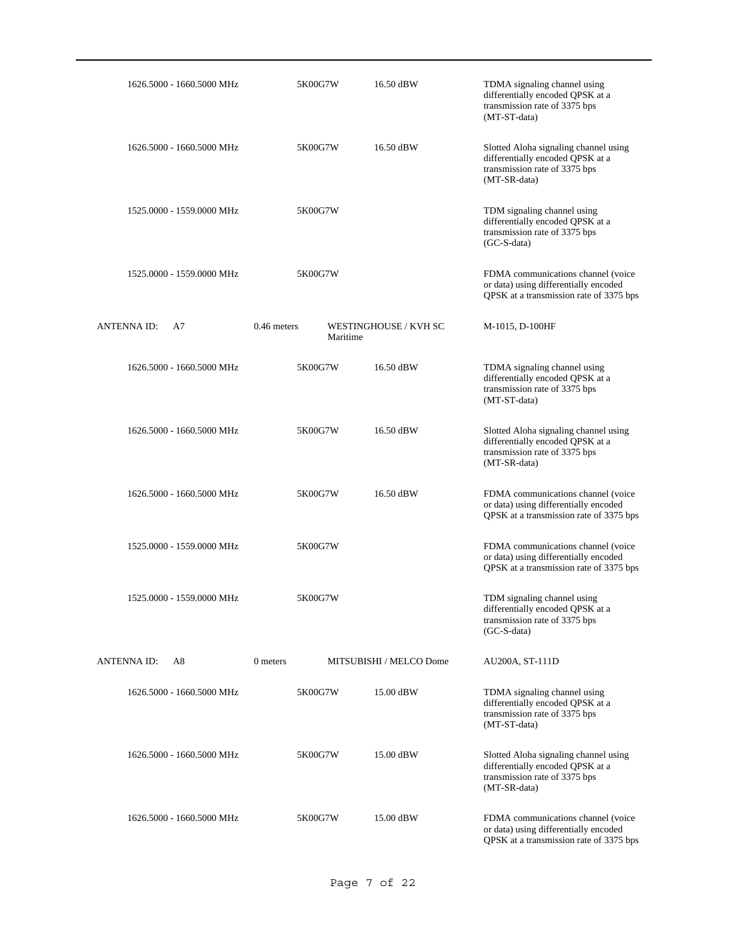| 1626.5000 - 1660.5000 MHz | 5K00G7W       | 16.50 dBW                         | TDMA signaling channel using<br>differentially encoded QPSK at a<br>transmission rate of 3375 bps<br>(MT-ST-data)          |
|---------------------------|---------------|-----------------------------------|----------------------------------------------------------------------------------------------------------------------------|
| 1626.5000 - 1660.5000 MHz | 5K00G7W       | 16.50 dBW                         | Slotted Aloha signaling channel using<br>differentially encoded QPSK at a<br>transmission rate of 3375 bps<br>(MT-SR-data) |
| 1525.0000 - 1559.0000 MHz | 5K00G7W       |                                   | TDM signaling channel using<br>differentially encoded QPSK at a<br>transmission rate of 3375 bps<br>$(GC-S-data)$          |
| 1525.0000 - 1559.0000 MHz | 5K00G7W       |                                   | FDMA communications channel (voice<br>or data) using differentially encoded<br>QPSK at a transmission rate of 3375 bps     |
| ANTENNA ID:<br>A7         | $0.46$ meters | WESTINGHOUSE / KVH SC<br>Maritime | M-1015, D-100HF                                                                                                            |
| 1626.5000 - 1660.5000 MHz | 5K00G7W       | 16.50 dBW                         | TDMA signaling channel using<br>differentially encoded QPSK at a<br>transmission rate of 3375 bps<br>(MT-ST-data)          |
| 1626.5000 - 1660.5000 MHz | 5K00G7W       | 16.50 dBW                         | Slotted Aloha signaling channel using<br>differentially encoded QPSK at a<br>transmission rate of 3375 bps<br>(MT-SR-data) |
| 1626.5000 - 1660.5000 MHz | 5K00G7W       | 16.50 dBW                         | FDMA communications channel (voice<br>or data) using differentially encoded<br>QPSK at a transmission rate of 3375 bps     |
| 1525.0000 - 1559.0000 MHz | 5K00G7W       |                                   | FDMA communications channel (voice<br>or data) using differentially encoded<br>QPSK at a transmission rate of 3375 bps     |
| 1525.0000 - 1559.0000 MHz | 5K00G7W       |                                   | TDM signaling channel using<br>differentially encoded QPSK at a<br>transmission rate of 3375 bps<br>$(GC-S-data)$          |
| ANTENNA ID:<br>A8         | 0 meters      | MITSUBISHI / MELCO Dome           | AU200A, ST-111D                                                                                                            |
| 1626.5000 - 1660.5000 MHz | 5K00G7W       | 15.00 dBW                         | TDMA signaling channel using<br>differentially encoded QPSK at a<br>transmission rate of 3375 bps<br>(MT-ST-data)          |
| 1626.5000 - 1660.5000 MHz | 5K00G7W       | 15.00 dBW                         | Slotted Aloha signaling channel using<br>differentially encoded QPSK at a<br>transmission rate of 3375 bps<br>(MT-SR-data) |
| 1626.5000 - 1660.5000 MHz | 5K00G7W       | 15.00 dBW                         | FDMA communications channel (voice<br>or data) using differentially encoded<br>QPSK at a transmission rate of 3375 bps     |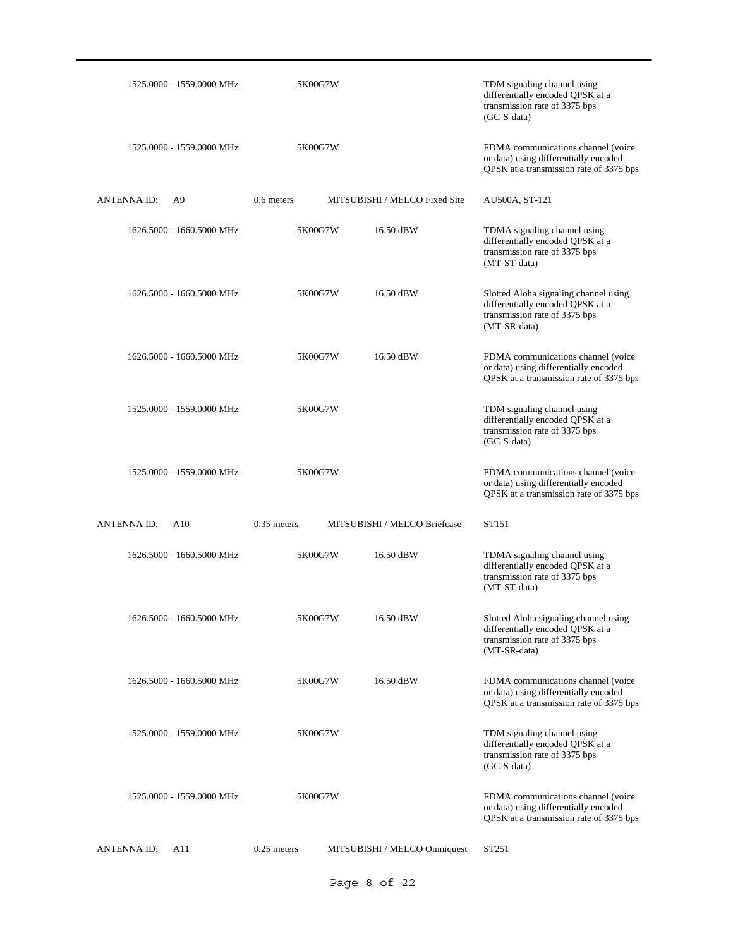| 1525.0000 - 1559.0000 MHz           | 5K00G7W       |                               | TDM signaling channel using<br>differentially encoded QPSK at a<br>transmission rate of 3375 bps<br>$(GC-S-data)$          |
|-------------------------------------|---------------|-------------------------------|----------------------------------------------------------------------------------------------------------------------------|
| 1525,0000 - 1559,0000 MHz           | 5K00G7W       |                               | FDMA communications channel (voice<br>or data) using differentially encoded<br>QPSK at a transmission rate of 3375 bps     |
| <b>ANTENNAID:</b><br>A <sup>9</sup> | $0.6$ meters  | MITSUBISHI / MELCO Fixed Site | AU500A, ST-121                                                                                                             |
| 1626.5000 - 1660.5000 MHz           | 5K00G7W       | 16.50 dBW                     | TDMA signaling channel using<br>differentially encoded QPSK at a<br>transmission rate of 3375 bps<br>(MT-ST-data)          |
| 1626.5000 - 1660.5000 MHz           | 5K00G7W       | 16.50 dBW                     | Slotted Aloha signaling channel using<br>differentially encoded QPSK at a<br>transmission rate of 3375 bps<br>(MT-SR-data) |
| 1626.5000 - 1660.5000 MHz           | 5K00G7W       | 16.50 dBW                     | FDMA communications channel (voice<br>or data) using differentially encoded<br>QPSK at a transmission rate of 3375 bps     |
| 1525.0000 - 1559.0000 MHz           | 5K00G7W       |                               | TDM signaling channel using<br>differentially encoded QPSK at a<br>transmission rate of 3375 bps<br>$(GC-S-data)$          |
|                                     |               |                               |                                                                                                                            |
| 1525.0000 - 1559.0000 MHz           | 5K00G7W       |                               | FDMA communications channel (voice)<br>or data) using differentially encoded<br>QPSK at a transmission rate of 3375 bps    |
| <b>ANTENNAID:</b><br>A10            | $0.35$ meters | MITSUBISHI / MELCO Briefcase  | ST151                                                                                                                      |
| 1626.5000 - 1660.5000 MHz           | 5K00G7W       | 16.50 dBW                     | TDMA signaling channel using<br>differentially encoded QPSK at a<br>transmission rate of 3375 bps<br>(MT-ST-data)          |
| 1626.5000 - 1660.5000 MHz           | 5K00G7W       | 16.50 dBW                     | Slotted Aloha signaling channel using<br>differentially encoded QPSK at a<br>transmission rate of 3375 bps<br>(MT-SR-data) |
| 1626.5000 - 1660.5000 MHz           | 5K00G7W       | 16.50 dBW                     | FDMA communications channel (voice<br>or data) using differentially encoded<br>QPSK at a transmission rate of 3375 bps     |
| 1525.0000 - 1559.0000 MHz           | 5K00G7W       |                               | TDM signaling channel using<br>differentially encoded QPSK at a<br>transmission rate of 3375 bps<br>$(GC-S-data)$          |
| 1525.0000 - 1559.0000 MHz           | 5K00G7W       |                               | FDMA communications channel (voice<br>or data) using differentially encoded<br>QPSK at a transmission rate of 3375 bps     |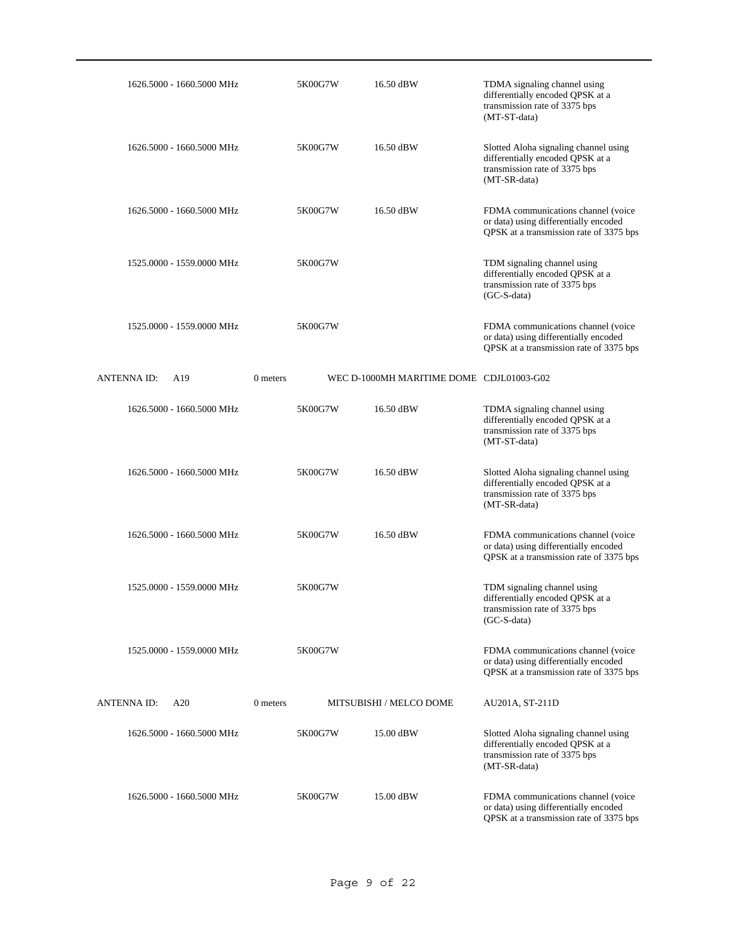| 1626.5000 - 1660.5000 MHz | 5K00G7W  | 16.50 dBW                                | TDMA signaling channel using<br>differentially encoded QPSK at a<br>transmission rate of 3375 bps<br>(MT-ST-data)          |
|---------------------------|----------|------------------------------------------|----------------------------------------------------------------------------------------------------------------------------|
| 1626.5000 - 1660.5000 MHz | 5K00G7W  | 16.50 dBW                                | Slotted Aloha signaling channel using<br>differentially encoded QPSK at a<br>transmission rate of 3375 bps<br>(MT-SR-data) |
| 1626.5000 - 1660.5000 MHz | 5K00G7W  | 16.50 dBW                                | FDMA communications channel (voice<br>or data) using differentially encoded<br>QPSK at a transmission rate of 3375 bps     |
| 1525.0000 - 1559.0000 MHz | 5K00G7W  |                                          | TDM signaling channel using<br>differentially encoded QPSK at a<br>transmission rate of 3375 bps<br>$(GC-S-data)$          |
| 1525.0000 - 1559.0000 MHz | 5K00G7W  |                                          | FDMA communications channel (voice)<br>or data) using differentially encoded<br>QPSK at a transmission rate of 3375 bps    |
| <b>ANTENNA ID:</b><br>A19 | 0 meters | WEC D-1000MH MARITIME DOME CDJL01003-G02 |                                                                                                                            |
| 1626.5000 - 1660.5000 MHz | 5K00G7W  | 16.50 dBW                                | TDMA signaling channel using<br>differentially encoded QPSK at a<br>transmission rate of 3375 bps<br>(MT-ST-data)          |
| 1626.5000 - 1660.5000 MHz | 5K00G7W  | 16.50 dBW                                | Slotted Aloha signaling channel using<br>differentially encoded QPSK at a<br>transmission rate of 3375 bps<br>(MT-SR-data) |
| 1626.5000 - 1660.5000 MHz | 5K00G7W  | 16.50 dBW                                | FDMA communications channel (voice<br>or data) using differentially encoded<br>QPSK at a transmission rate of 3375 bps     |
| 1525,0000 - 1559,0000 MHz | 5K00G7W  |                                          | TDM signaling channel using<br>differentially encoded QPSK at a<br>transmission rate of 3375 bps<br>$(GC-S-data)$          |
| 1525,0000 - 1559,0000 MHz | 5K00G7W  |                                          | FDMA communications channel (voice<br>or data) using differentially encoded<br>QPSK at a transmission rate of 3375 bps     |
| ANTENNA ID:<br>A20        | 0 meters | MITSUBISHI / MELCO DOME                  | AU201A, ST-211D                                                                                                            |
| 1626.5000 - 1660.5000 MHz | 5K00G7W  | 15.00 dBW                                | Slotted Aloha signaling channel using<br>differentially encoded QPSK at a<br>transmission rate of 3375 bps<br>(MT-SR-data) |
| 1626.5000 - 1660.5000 MHz | 5K00G7W  | 15.00 dBW                                | FDMA communications channel (voice<br>or data) using differentially encoded<br>QPSK at a transmission rate of 3375 bps     |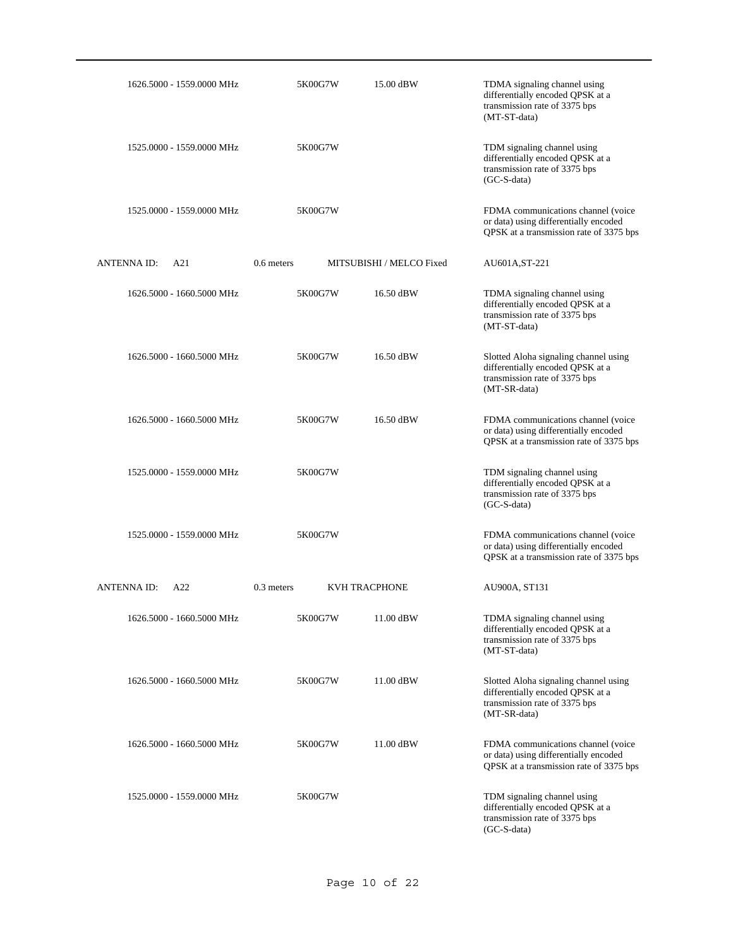| 1626.5000 - 1559.0000 MHz | 5K00G7W      | 15.00 dBW                | TDMA signaling channel using<br>differentially encoded QPSK at a<br>transmission rate of 3375 bps<br>(MT-ST-data)          |
|---------------------------|--------------|--------------------------|----------------------------------------------------------------------------------------------------------------------------|
| 1525.0000 - 1559.0000 MHz | 5K00G7W      |                          | TDM signaling channel using<br>differentially encoded QPSK at a<br>transmission rate of 3375 bps<br>$(GC-S-data)$          |
| 1525.0000 - 1559.0000 MHz | 5K00G7W      |                          | FDMA communications channel (voice<br>or data) using differentially encoded<br>QPSK at a transmission rate of 3375 bps     |
| ANTENNA ID:<br>A21        | $0.6$ meters | MITSUBISHI / MELCO Fixed | AU601A, ST-221                                                                                                             |
| 1626.5000 - 1660.5000 MHz | 5K00G7W      | 16.50 dBW                | TDMA signaling channel using<br>differentially encoded QPSK at a<br>transmission rate of 3375 bps<br>(MT-ST-data)          |
| 1626.5000 - 1660.5000 MHz | 5K00G7W      | 16.50 dBW                | Slotted Aloha signaling channel using<br>differentially encoded QPSK at a<br>transmission rate of 3375 bps<br>(MT-SR-data) |
| 1626.5000 - 1660.5000 MHz | 5K00G7W      | 16.50 dBW                | FDMA communications channel (voice<br>or data) using differentially encoded<br>QPSK at a transmission rate of 3375 bps     |
| 1525.0000 - 1559.0000 MHz | 5K00G7W      |                          | TDM signaling channel using<br>differentially encoded QPSK at a<br>transmission rate of 3375 bps<br>(GC-S-data)            |
| 1525.0000 - 1559.0000 MHz | 5K00G7W      |                          | FDMA communications channel (voice<br>or data) using differentially encoded<br>QPSK at a transmission rate of 3375 bps     |
| <b>ANTENNAID:</b><br>A22  | $0.3$ meters | <b>KVH TRACPHONE</b>     | AU900A, ST131                                                                                                              |
| 1626.5000 - 1660.5000 MHz | 5K00G7W      | 11.00 dBW                | TDMA signaling channel using<br>differentially encoded QPSK at a<br>transmission rate of 3375 bps<br>(MT-ST-data)          |
| 1626.5000 - 1660.5000 MHz | 5K00G7W      | 11.00 dBW                | Slotted Aloha signaling channel using<br>differentially encoded QPSK at a<br>transmission rate of 3375 bps<br>(MT-SR-data) |
| 1626.5000 - 1660.5000 MHz | 5K00G7W      | 11.00 dBW                | FDMA communications channel (voice<br>or data) using differentially encoded<br>QPSK at a transmission rate of 3375 bps     |
| 1525.0000 - 1559.0000 MHz | 5K00G7W      |                          | TDM signaling channel using<br>differentially encoded QPSK at a<br>transmission rate of 3375 bps<br>(GC-S-data)            |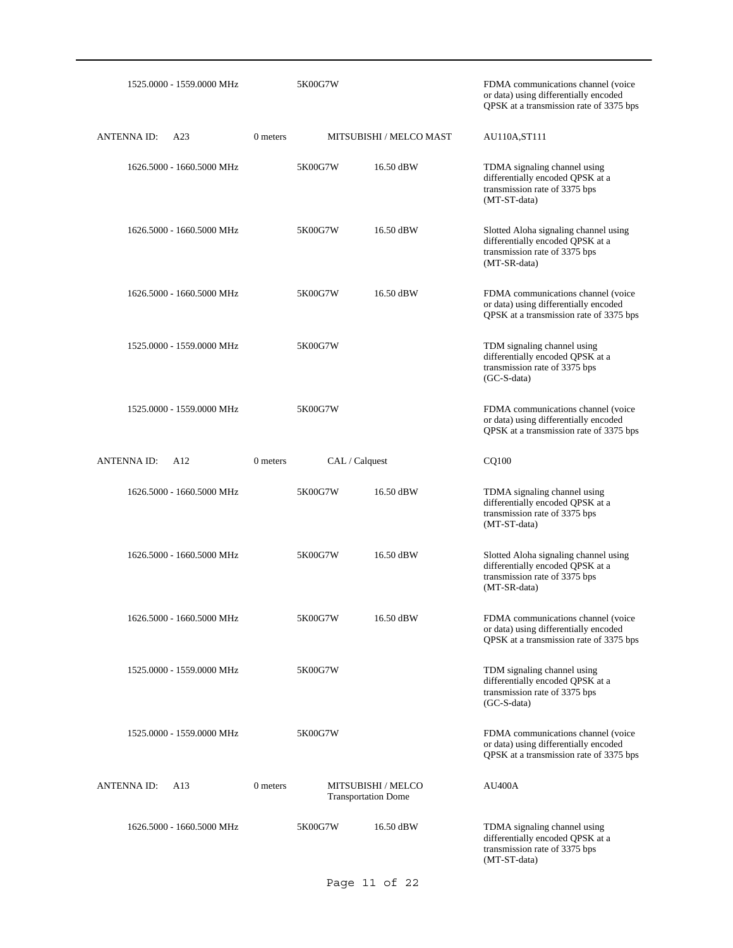|                    | 1525.0000 - 1559.0000 MHz |          | 5K00G7W        |                                                  | FDMA communications channel (voice<br>or data) using differentially encoded<br>QPSK at a transmission rate of 3375 bps     |
|--------------------|---------------------------|----------|----------------|--------------------------------------------------|----------------------------------------------------------------------------------------------------------------------------|
| <b>ANTENNA ID:</b> | A23                       | 0 meters |                | MITSUBISHI / MELCO MAST                          | AU110A, ST111                                                                                                              |
|                    | 1626.5000 - 1660.5000 MHz |          | 5K00G7W        | 16.50 dBW                                        | TDMA signaling channel using<br>differentially encoded QPSK at a<br>transmission rate of 3375 bps<br>(MT-ST-data)          |
|                    | 1626.5000 - 1660.5000 MHz |          | 5K00G7W        | 16.50 dBW                                        | Slotted Aloha signaling channel using<br>differentially encoded QPSK at a<br>transmission rate of 3375 bps<br>(MT-SR-data) |
|                    | 1626.5000 - 1660.5000 MHz |          | 5K00G7W        | 16.50 dBW                                        | FDMA communications channel (voice<br>or data) using differentially encoded<br>QPSK at a transmission rate of 3375 bps     |
|                    | 1525,0000 - 1559,0000 MHz |          | 5K00G7W        |                                                  | TDM signaling channel using<br>differentially encoded QPSK at a<br>transmission rate of 3375 bps<br>(GC-S-data)            |
|                    | 1525,0000 - 1559,0000 MHz |          | 5K00G7W        |                                                  | FDMA communications channel (voice<br>or data) using differentially encoded<br>QPSK at a transmission rate of 3375 bps     |
| <b>ANTENNA ID:</b> | A12                       | 0 meters | CAL / Calquest |                                                  | CQ100                                                                                                                      |
|                    | 1626.5000 - 1660.5000 MHz |          | 5K00G7W        | 16.50 dBW                                        | TDMA signaling channel using<br>differentially encoded QPSK at a<br>transmission rate of 3375 bps<br>(MT-ST-data)          |
|                    | 1626.5000 - 1660.5000 MHz |          | 5K00G7W        | 16.50 dBW                                        | Slotted Aloha signaling channel using<br>differentially encoded QPSK at a<br>transmission rate of 3375 bps<br>(MT-SR-data) |
|                    | 1626.5000 - 1660.5000 MHz |          | 5K00G7W        | 16.50 dBW                                        | FDMA communications channel (voice)<br>or data) using differentially encoded<br>QPSK at a transmission rate of 3375 bps    |
|                    | 1525.0000 - 1559.0000 MHz |          | 5K00G7W        |                                                  | TDM signaling channel using<br>differentially encoded QPSK at a<br>transmission rate of 3375 bps<br>$(GC-S-data)$          |
|                    | 1525.0000 - 1559.0000 MHz |          | 5K00G7W        |                                                  | FDMA communications channel (voice<br>or data) using differentially encoded<br>QPSK at a transmission rate of 3375 bps     |
| <b>ANTENNA ID:</b> | A13                       | 0 meters |                | MITSUBISHI / MELCO<br><b>Transportation Dome</b> | <b>AU400A</b>                                                                                                              |
|                    | 1626.5000 - 1660.5000 MHz |          | 5K00G7W        | 16.50 dBW                                        | TDMA signaling channel using<br>differentially encoded QPSK at a<br>transmission rate of 3375 bps<br>(MT-ST-data)          |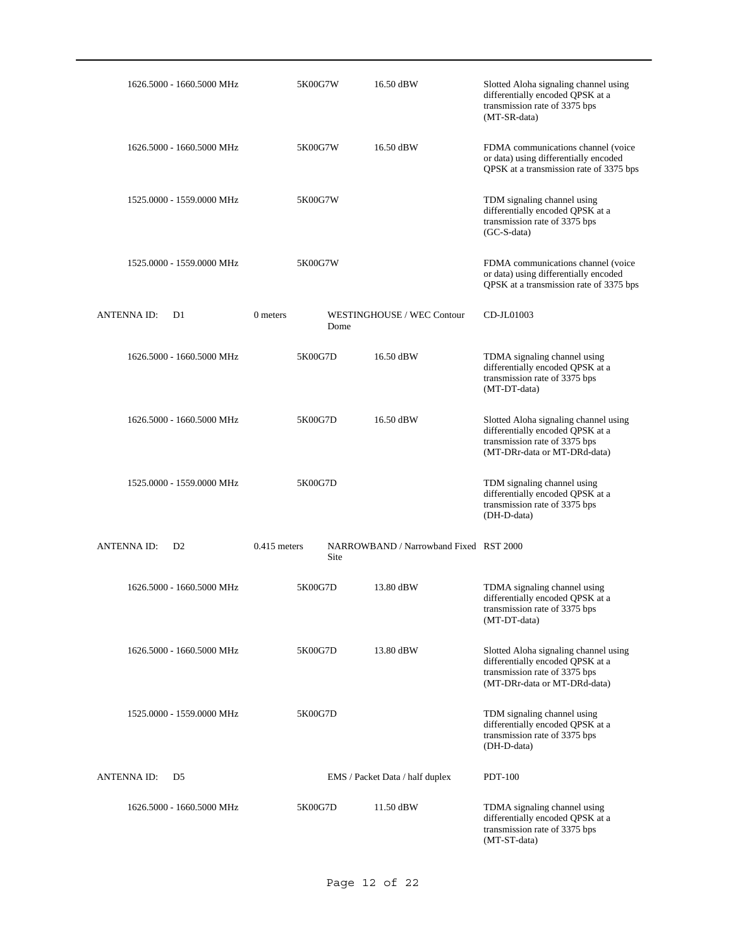| 1626.5000 - 1660.5000 MHz            | 5K00G7W                | 16.50 dBW                              | Slotted Aloha signaling channel using<br>differentially encoded QPSK at a<br>transmission rate of 3375 bps<br>(MT-SR-data)                 |
|--------------------------------------|------------------------|----------------------------------------|--------------------------------------------------------------------------------------------------------------------------------------------|
| 1626.5000 - 1660.5000 MHz            | 5K00G7W                | 16.50 dBW                              | FDMA communications channel (voice<br>or data) using differentially encoded<br>QPSK at a transmission rate of 3375 bps                     |
| 1525.0000 - 1559.0000 MHz            | 5K00G7W                |                                        | TDM signaling channel using<br>differentially encoded QPSK at a<br>transmission rate of 3375 bps<br>(GC-S-data)                            |
| 1525.0000 - 1559.0000 MHz            | 5K00G7W                |                                        | FDMA communications channel (voice<br>or data) using differentially encoded<br>QPSK at a transmission rate of 3375 bps                     |
| <b>ANTENNA ID:</b><br>D1             | 0 meters<br>Dome       | WESTINGHOUSE / WEC Contour             | CD-JL01003                                                                                                                                 |
| 1626.5000 - 1660.5000 MHz            | 5K00G7D                | 16.50 dBW                              | TDMA signaling channel using<br>differentially encoded QPSK at a<br>transmission rate of 3375 bps<br>(MT-DT-data)                          |
| 1626.5000 - 1660.5000 MHz            | 5K00G7D                | 16.50 dBW                              | Slotted Aloha signaling channel using<br>differentially encoded QPSK at a<br>transmission rate of 3375 bps<br>(MT-DRr-data or MT-DRd-data) |
| 1525.0000 - 1559.0000 MHz            | 5K00G7D                |                                        | TDM signaling channel using<br>differentially encoded QPSK at a<br>transmission rate of 3375 bps<br>(DH-D-data)                            |
| <b>ANTENNA ID:</b><br>D <sub>2</sub> | $0.415$ meters<br>Site | NARROWBAND / Narrowband Fixed RST 2000 |                                                                                                                                            |
| 1626.5000 - 1660.5000 MHz            | 5K00G7D                | 13.80 dBW                              | TDMA signaling channel using<br>differentially encoded QPSK at a<br>transmission rate of 3375 bps<br>(MT-DT-data)                          |
| 1626.5000 - 1660.5000 MHz            | 5K00G7D                | 13.80 dBW                              | Slotted Aloha signaling channel using<br>differentially encoded QPSK at a<br>transmission rate of 3375 bps<br>(MT-DRr-data or MT-DRd-data) |
| 1525,0000 - 1559,0000 MHz            | 5K00G7D                |                                        | TDM signaling channel using<br>differentially encoded QPSK at a<br>transmission rate of 3375 bps<br>(DH-D-data)                            |
| <b>ANTENNA ID:</b><br>D5             |                        | EMS / Packet Data / half duplex        | <b>PDT-100</b>                                                                                                                             |
| 1626.5000 - 1660.5000 MHz            | 5K00G7D                | 11.50 dBW                              | TDMA signaling channel using<br>differentially encoded QPSK at a<br>transmission rate of 3375 bps<br>(MT-ST-data)                          |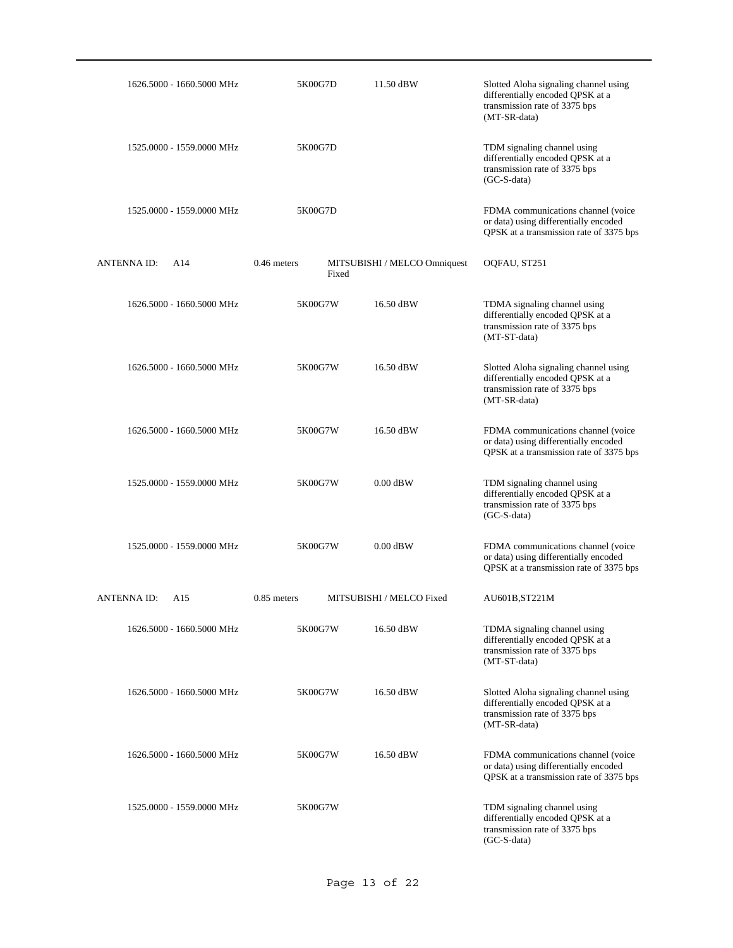| 1626.5000 - 1660.5000 MHz | 5K00G7D                | 11.50 dBW                    | Slotted Aloha signaling channel using<br>differentially encoded QPSK at a<br>transmission rate of 3375 bps<br>(MT-SR-data) |
|---------------------------|------------------------|------------------------------|----------------------------------------------------------------------------------------------------------------------------|
| 1525.0000 - 1559.0000 MHz | 5K00G7D                |                              | TDM signaling channel using<br>differentially encoded QPSK at a<br>transmission rate of 3375 bps<br>$(GC-S-data)$          |
| 1525.0000 - 1559.0000 MHz | 5K00G7D                |                              | FDMA communications channel (voice<br>or data) using differentially encoded<br>QPSK at a transmission rate of 3375 bps     |
| <b>ANTENNA ID:</b><br>A14 | $0.46$ meters<br>Fixed | MITSUBISHI / MELCO Omniquest | OQFAU, ST251                                                                                                               |
| 1626.5000 - 1660.5000 MHz | 5K00G7W                | 16.50 dBW                    | TDMA signaling channel using<br>differentially encoded QPSK at a<br>transmission rate of 3375 bps<br>(MT-ST-data)          |
| 1626.5000 - 1660.5000 MHz | 5K00G7W                | 16.50 dBW                    | Slotted Aloha signaling channel using<br>differentially encoded QPSK at a<br>transmission rate of 3375 bps<br>(MT-SR-data) |
| 1626.5000 - 1660.5000 MHz | 5K00G7W                | 16.50 dBW                    | FDMA communications channel (voice<br>or data) using differentially encoded<br>QPSK at a transmission rate of 3375 bps     |
| 1525.0000 - 1559.0000 MHz | 5K00G7W                | $0.00$ dBW                   | TDM signaling channel using<br>differentially encoded QPSK at a<br>transmission rate of 3375 bps<br>$(GC-S-data)$          |
| 1525.0000 - 1559.0000 MHz | 5K00G7W                | $0.00$ dBW                   | FDMA communications channel (voice<br>or data) using differentially encoded<br>QPSK at a transmission rate of 3375 bps     |
| ANTENNA ID:<br>A15        | $0.85$ meters          | MITSUBISHI / MELCO Fixed     | AU601B, ST221M                                                                                                             |
| 1626.5000 - 1660.5000 MHz | 5K00G7W                | 16.50 dBW                    | TDMA signaling channel using<br>differentially encoded QPSK at a<br>transmission rate of 3375 bps<br>(MT-ST-data)          |
| 1626.5000 - 1660.5000 MHz | 5K00G7W                | 16.50 dBW                    | Slotted Aloha signaling channel using<br>differentially encoded QPSK at a<br>transmission rate of 3375 bps<br>(MT-SR-data) |
| 1626.5000 - 1660.5000 MHz | 5K00G7W                | 16.50 dBW                    | FDMA communications channel (voice<br>or data) using differentially encoded<br>QPSK at a transmission rate of 3375 bps     |
| 1525,0000 - 1559,0000 MHz | 5K00G7W                |                              | TDM signaling channel using<br>differentially encoded QPSK at a<br>transmission rate of 3375 bps<br>(GC-S-data)            |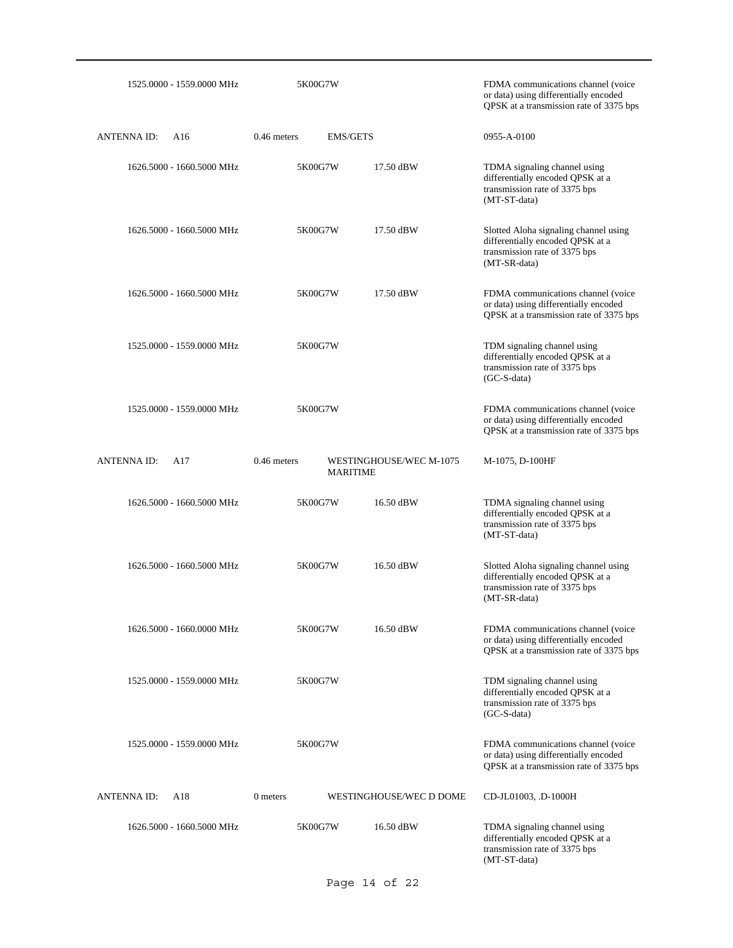| 1525.0000 - 1559.0000 MHz | 5K00G7W                          |                         | FDMA communications channel (voice<br>or data) using differentially encoded<br>QPSK at a transmission rate of 3375 bps     |
|---------------------------|----------------------------------|-------------------------|----------------------------------------------------------------------------------------------------------------------------|
| <b>ANTENNA ID:</b><br>A16 | $0.46$ meters<br><b>EMS/GETS</b> |                         | 0955-A-0100                                                                                                                |
| 1626.5000 - 1660.5000 MHz | 5K00G7W                          | 17.50 dBW               | TDMA signaling channel using<br>differentially encoded QPSK at a<br>transmission rate of 3375 bps<br>(MT-ST-data)          |
| 1626.5000 - 1660.5000 MHz | 5K00G7W                          | 17.50 dBW               | Slotted Aloha signaling channel using<br>differentially encoded QPSK at a<br>transmission rate of 3375 bps<br>(MT-SR-data) |
| 1626.5000 - 1660.5000 MHz | 5K00G7W                          | 17.50 dBW               | FDMA communications channel (voice<br>or data) using differentially encoded<br>QPSK at a transmission rate of 3375 bps     |
| 1525.0000 - 1559.0000 MHz | 5K00G7W                          |                         | TDM signaling channel using<br>differentially encoded QPSK at a<br>transmission rate of 3375 bps<br>$(GC-S-data)$          |
| 1525.0000 - 1559.0000 MHz | 5K00G7W                          |                         | FDMA communications channel (voice<br>or data) using differentially encoded<br>QPSK at a transmission rate of 3375 bps     |
| <b>ANTENNAID:</b><br>A17  | $0.46$ meters<br><b>MARITIME</b> | WESTINGHOUSE/WEC M-1075 | M-1075, D-100HF                                                                                                            |
| 1626.5000 - 1660.5000 MHz | 5K00G7W                          | 16.50 dBW               | TDMA signaling channel using<br>differentially encoded QPSK at a<br>transmission rate of 3375 bps<br>(MT-ST-data)          |
| 1626.5000 - 1660.5000 MHz | 5K00G7W                          | 16.50 dBW               | Slotted Aloha signaling channel using<br>differentially encoded QPSK at a<br>transmission rate of 3375 bps<br>(MT-SR-data) |
| 1626.5000 - 1660.0000 MHz | 5K00G7W                          | 16.50 dBW               | FDMA communications channel (voice)                                                                                        |
|                           |                                  |                         | or data) using differentially encoded<br>QPSK at a transmission rate of 3375 bps                                           |
| 1525.0000 - 1559.0000 MHz | 5K00G7W                          |                         | TDM signaling channel using<br>differentially encoded QPSK at a<br>transmission rate of 3375 bps<br>$(GC-S-data)$          |
| 1525.0000 - 1559.0000 MHz | 5K00G7W                          |                         | FDMA communications channel (voice<br>or data) using differentially encoded<br>QPSK at a transmission rate of 3375 bps     |
| <b>ANTENNA ID:</b><br>A18 | 0 meters                         | WESTINGHOUSE/WEC D DOME | CD-JL01003, .D-1000H                                                                                                       |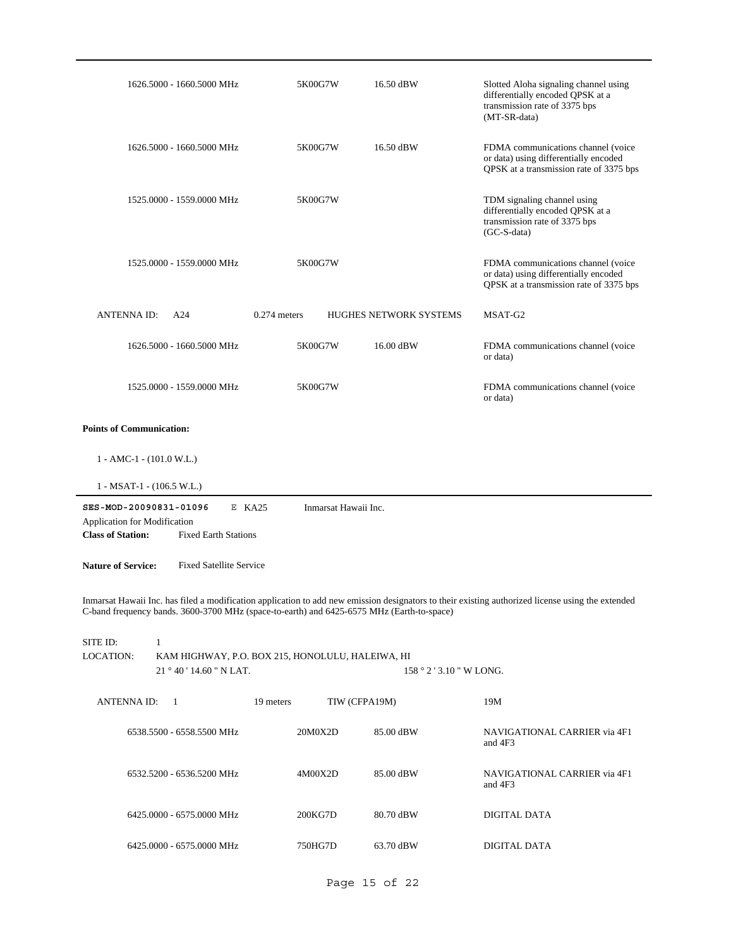| 1626.5000 - 1660.5000 MHz                                                                                         | 5K00G7W                                          | 16.50 dBW                     | Slotted Aloha signaling channel using<br>differentially encoded QPSK at a<br>transmission rate of 3375 bps<br>(MT-SR-data)                        |
|-------------------------------------------------------------------------------------------------------------------|--------------------------------------------------|-------------------------------|---------------------------------------------------------------------------------------------------------------------------------------------------|
| 1626.5000 - 1660.5000 MHz                                                                                         | 5K00G7W                                          | 16.50 dBW                     | FDMA communications channel (voice<br>or data) using differentially encoded<br>QPSK at a transmission rate of 3375 bps                            |
| 1525.0000 - 1559.0000 MHz                                                                                         | 5K00G7W                                          |                               | TDM signaling channel using<br>differentially encoded QPSK at a<br>transmission rate of 3375 bps<br>(GC-S-data)                                   |
| 1525.0000 - 1559.0000 MHz                                                                                         | 5K00G7W                                          |                               | FDMA communications channel (voice<br>or data) using differentially encoded<br>QPSK at a transmission rate of 3375 bps                            |
| <b>ANTENNA ID:</b><br>A24                                                                                         | $0.274$ meters                                   | <b>HUGHES NETWORK SYSTEMS</b> | MSAT-G2                                                                                                                                           |
| 1626.5000 - 1660.5000 MHz                                                                                         | 5K00G7W                                          | 16.00 dBW                     | FDMA communications channel (voice<br>or data)                                                                                                    |
| 1525.0000 - 1559.0000 MHz                                                                                         | 5K00G7W                                          |                               | FDMA communications channel (voice<br>or data)                                                                                                    |
| <b>Points of Communication:</b>                                                                                   |                                                  |                               |                                                                                                                                                   |
| $1 - AMC-1 - (101.0 W.L.)$                                                                                        |                                                  |                               |                                                                                                                                                   |
|                                                                                                                   |                                                  |                               |                                                                                                                                                   |
| $1 - MSAT-1 - (106.5 W.L.)$                                                                                       |                                                  |                               |                                                                                                                                                   |
| SES-MOD-20090831-01096<br>Application for Modification<br><b>Class of Station:</b><br><b>Fixed Earth Stations</b> | $E$ KA25                                         | Inmarsat Hawaii Inc.          |                                                                                                                                                   |
| <b>Nature of Service:</b><br><b>Fixed Satellite Service</b>                                                       |                                                  |                               |                                                                                                                                                   |
| C-band frequency bands. 3600-3700 MHz (space-to-earth) and 6425-6575 MHz (Earth-to-space)                         |                                                  |                               | Inmarsat Hawaii Inc. has filed a modification application to add new emission designators to their existing authorized license using the extended |
| SITE ID:<br>$\mathbf{1}$                                                                                          |                                                  |                               |                                                                                                                                                   |
| LOCATION:<br>21°40'14.60" N LAT.                                                                                  | KAM HIGHWAY, P.O. BOX 215, HONOLULU, HALEIWA, HI |                               | $158°2'3.10''$ W LONG.                                                                                                                            |
| ANTENNA ID:<br>-1                                                                                                 | 19 meters                                        | TIW (CFPA19M)                 | 19M                                                                                                                                               |
| 6538.5500 - 6558.5500 MHz                                                                                         | 20M0X2D                                          | 85.00 dBW                     | NAVIGATIONAL CARRIER via 4F1<br>and 4F3                                                                                                           |
| 6532.5200 - 6536.5200 MHz                                                                                         | 4M00X2D                                          | 85.00 dBW                     | NAVIGATIONAL CARRIER via 4F1<br>and 4F3                                                                                                           |
| 6425.0000 - 6575.0000 MHz                                                                                         | 200KG7D                                          | 80.70 dBW                     | DIGITAL DATA                                                                                                                                      |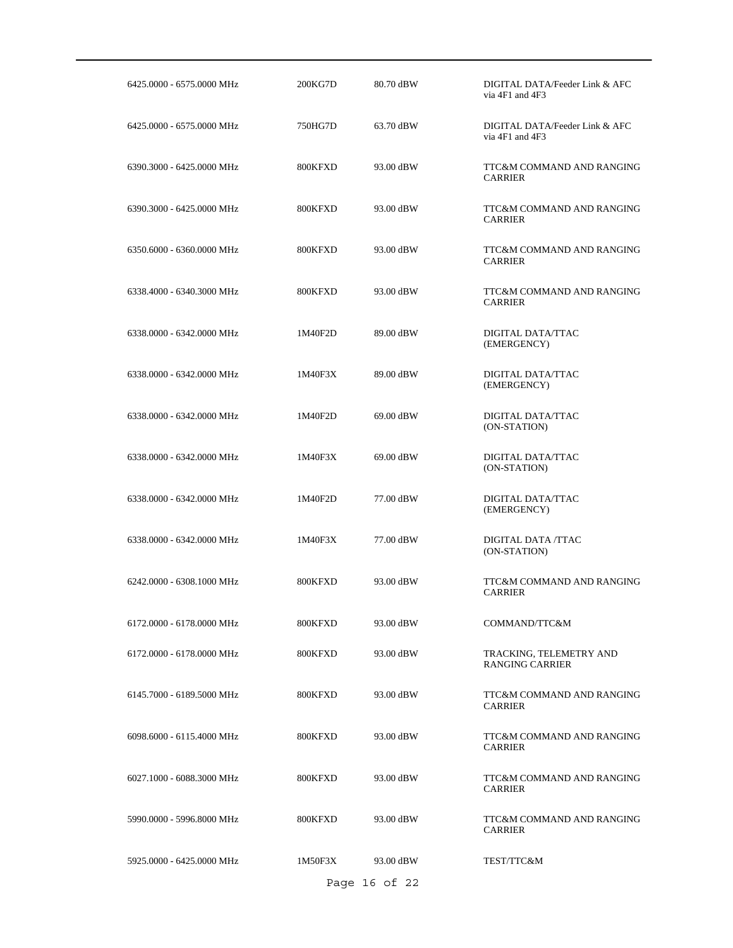| 6425.0000 - 6575.0000 MHz | 200KG7D | 80.70 dBW     | DIGITAL DATA/Feeder Link & AFC<br>via 4F1 and 4F3 |
|---------------------------|---------|---------------|---------------------------------------------------|
| 6425.0000 - 6575.0000 MHz | 750HG7D | 63.70 dBW     | DIGITAL DATA/Feeder Link & AFC<br>via 4F1 and 4F3 |
| 6390.3000 - 6425.0000 MHz | 800KFXD | 93.00 dBW     | TTC&M COMMAND AND RANGING<br><b>CARRIER</b>       |
| 6390.3000 - 6425.0000 MHz | 800KFXD | 93.00 dBW     | TTC&M COMMAND AND RANGING<br><b>CARRIER</b>       |
| 6350.6000 - 6360.0000 MHz | 800KFXD | 93.00 dBW     | TTC&M COMMAND AND RANGING<br><b>CARRIER</b>       |
| 6338.4000 - 6340.3000 MHz | 800KFXD | 93.00 dBW     | TTC&M COMMAND AND RANGING<br><b>CARRIER</b>       |
| 6338.0000 - 6342.0000 MHz | 1M40F2D | 89.00 dBW     | DIGITAL DATA/TTAC<br>(EMERGENCY)                  |
| 6338.0000 - 6342.0000 MHz | 1M40F3X | 89.00 dBW     | DIGITAL DATA/TTAC<br>(EMERGENCY)                  |
| 6338.0000 - 6342.0000 MHz | 1M40F2D | 69.00 dBW     | DIGITAL DATA/TTAC<br>(ON-STATION)                 |
| 6338.0000 - 6342.0000 MHz | 1M40F3X | 69.00 dBW     | DIGITAL DATA/TTAC<br>(ON-STATION)                 |
| 6338.0000 - 6342.0000 MHz | 1M40F2D | 77.00 dBW     | DIGITAL DATA/TTAC<br>(EMERGENCY)                  |
| 6338.0000 - 6342.0000 MHz | 1M40F3X | 77.00 dBW     | DIGITAL DATA /TTAC<br>(ON-STATION)                |
| 6242.0000 - 6308.1000 MHz | 800KFXD | 93.00 dBW     | TTC&M COMMAND AND RANGING<br><b>CARRIER</b>       |
| 6172.0000 - 6178.0000 MHz | 800KFXD | 93.00 dBW     | COMMAND/TTC&M                                     |
| 6172.0000 - 6178.0000 MHz | 800KFXD | 93.00 dBW     | TRACKING, TELEMETRY AND<br><b>RANGING CARRIER</b> |
| 6145.7000 - 6189.5000 MHz | 800KFXD | 93.00 dBW     | TTC&M COMMAND AND RANGING<br><b>CARRIER</b>       |
| 6098.6000 - 6115.4000 MHz | 800KFXD | 93.00 dBW     | TTC&M COMMAND AND RANGING<br><b>CARRIER</b>       |
| 6027.1000 - 6088.3000 MHz | 800KFXD | 93.00 dBW     | TTC&M COMMAND AND RANGING<br><b>CARRIER</b>       |
| 5990.0000 - 5996.8000 MHz | 800KFXD | 93.00 dBW     | TTC&M COMMAND AND RANGING<br><b>CARRIER</b>       |
| 5925.0000 - 6425.0000 MHz | 1M50F3X | 93.00 dBW     | TEST/TTC&M                                        |
|                           |         | Page 16 of 22 |                                                   |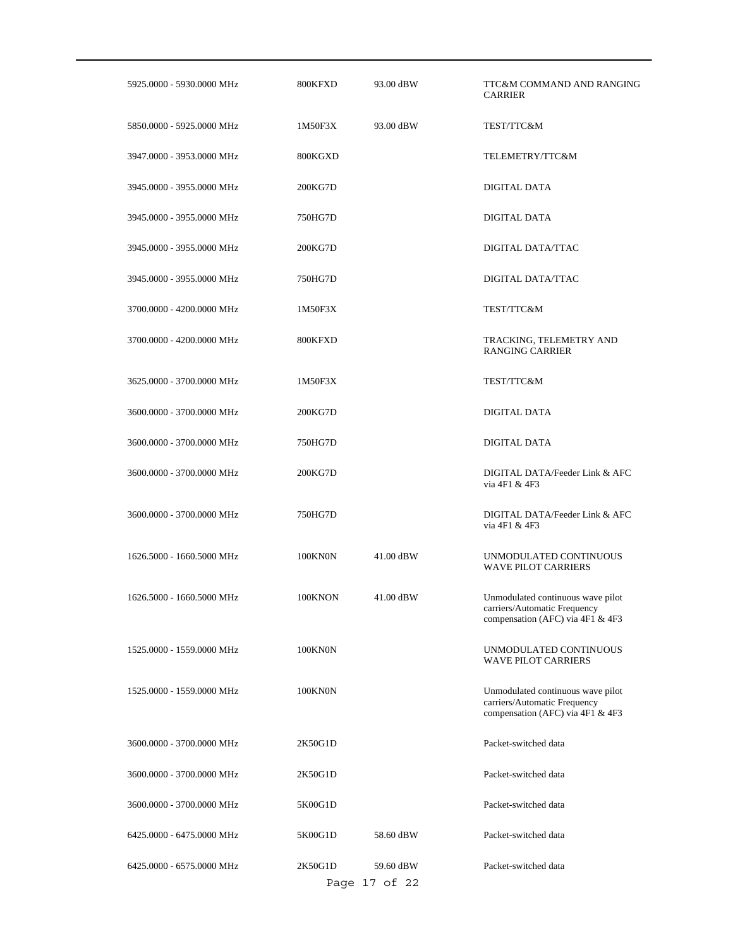| 5925.0000 - 5930.0000 MHz | 800KFXD | 93.00 dBW                  | TTC&M COMMAND AND RANGING<br><b>CARRIER</b>                                                           |
|---------------------------|---------|----------------------------|-------------------------------------------------------------------------------------------------------|
| 5850.0000 - 5925.0000 MHz | 1M50F3X | 93.00 dBW                  | TEST/TTC&M                                                                                            |
| 3947.0000 - 3953.0000 MHz | 800KGXD |                            | TELEMETRY/TTC&M                                                                                       |
| 3945.0000 - 3955.0000 MHz | 200KG7D |                            | DIGITAL DATA                                                                                          |
| 3945.0000 - 3955.0000 MHz | 750HG7D |                            | DIGITAL DATA                                                                                          |
| 3945.0000 - 3955.0000 MHz | 200KG7D |                            | DIGITAL DATA/TTAC                                                                                     |
| 3945.0000 - 3955.0000 MHz | 750HG7D |                            | DIGITAL DATA/TTAC                                                                                     |
| 3700.0000 - 4200.0000 MHz | 1M50F3X |                            | TEST/TTC&M                                                                                            |
| 3700.0000 - 4200.0000 MHz | 800KFXD |                            | TRACKING, TELEMETRY AND<br><b>RANGING CARRIER</b>                                                     |
| 3625.0000 - 3700.0000 MHz | 1M50F3X |                            | TEST/TTC&M                                                                                            |
| 3600.0000 - 3700.0000 MHz | 200KG7D |                            | <b>DIGITAL DATA</b>                                                                                   |
| 3600.0000 - 3700.0000 MHz | 750HG7D |                            | DIGITAL DATA                                                                                          |
| 3600.0000 - 3700.0000 MHz | 200KG7D |                            | DIGITAL DATA/Feeder Link & AFC<br>via 4F1 & 4F3                                                       |
| 3600.0000 - 3700.0000 MHz | 750HG7D |                            | DIGITAL DATA/Feeder Link & AFC<br>via 4F1 & 4F3                                                       |
| 1626.5000 - 1660.5000 MHz | 100KN0N | 41.00 dBW                  | UNMODULATED CONTINUOUS<br><b>WAVE PILOT CARRIERS</b>                                                  |
| 1626.5000 - 1660.5000 MHz | 100KNON | 41.00 dBW                  | Unmodulated continuous wave pilot<br>carriers/Automatic Frequency<br>compensation (AFC) via 4F1 & 4F3 |
| 1525.0000 - 1559.0000 MHz | 100KN0N |                            | UNMODULATED CONTINUOUS<br><b>WAVE PILOT CARRIERS</b>                                                  |
| 1525,0000 - 1559,0000 MHz | 100KN0N |                            | Unmodulated continuous wave pilot<br>carriers/Automatic Frequency<br>compensation (AFC) via 4F1 & 4F3 |
| 3600.0000 - 3700.0000 MHz | 2K50G1D |                            | Packet-switched data                                                                                  |
| 3600.0000 - 3700.0000 MHz | 2K50G1D |                            | Packet-switched data                                                                                  |
| 3600.0000 - 3700.0000 MHz | 5K00G1D |                            | Packet-switched data                                                                                  |
| 6425.0000 - 6475.0000 MHz | 5K00G1D | 58.60 dBW                  | Packet-switched data                                                                                  |
| 6425,0000 - 6575,0000 MHz | 2K50G1D | 59.60 dBW<br>Page 17 of 22 | Packet-switched data                                                                                  |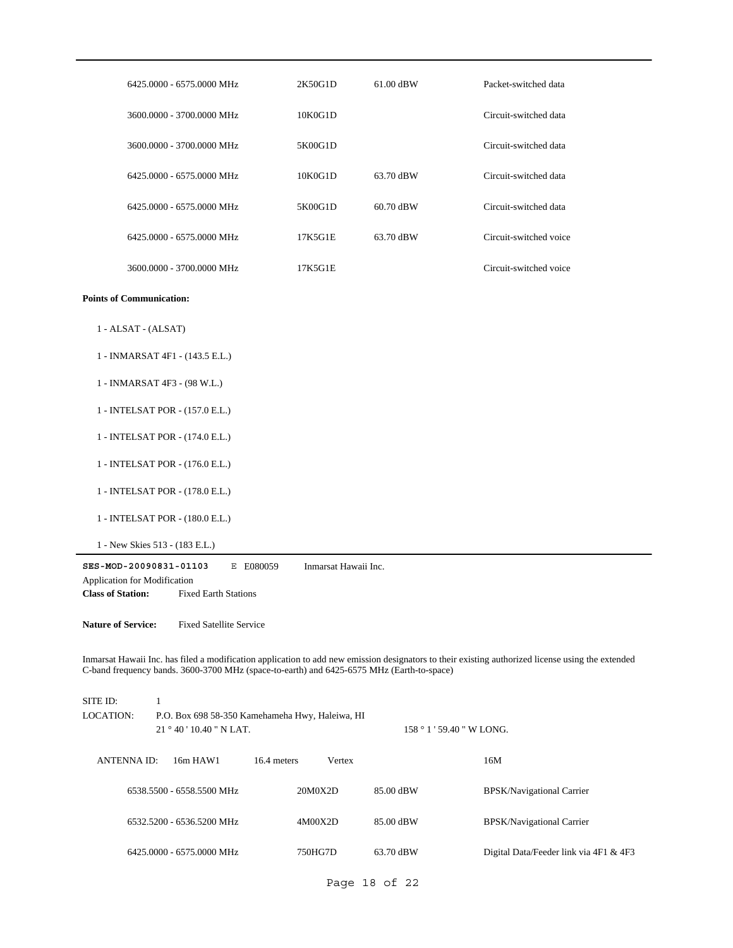| 6425.0000 - 6575.0000 MHz                                                                                                                                                                                                                      | 2K50G1D              | $61.00$ dBW               | Packet-switched data                   |
|------------------------------------------------------------------------------------------------------------------------------------------------------------------------------------------------------------------------------------------------|----------------------|---------------------------|----------------------------------------|
| 3600.0000 - 3700.0000 MHz                                                                                                                                                                                                                      | 10K0G1D              |                           | Circuit-switched data                  |
| 3600.0000 - 3700.0000 MHz                                                                                                                                                                                                                      | 5K00G1D              |                           | Circuit-switched data                  |
| 6425.0000 - 6575.0000 MHz                                                                                                                                                                                                                      | 10K0G1D              | 63.70 dBW                 | Circuit-switched data                  |
| 6425,0000 - 6575,0000 MHz                                                                                                                                                                                                                      | 5K00G1D              | 60.70 dBW                 | Circuit-switched data                  |
| 6425.0000 - 6575.0000 MHz                                                                                                                                                                                                                      | 17K5G1E              | 63.70 dBW                 | Circuit-switched voice                 |
| 3600.0000 - 3700.0000 MHz                                                                                                                                                                                                                      | 17K5G1E              |                           | Circuit-switched voice                 |
| <b>Points of Communication:</b>                                                                                                                                                                                                                |                      |                           |                                        |
| 1 - ALSAT - (ALSAT)                                                                                                                                                                                                                            |                      |                           |                                        |
| 1 - INMARSAT 4F1 - (143.5 E.L.)                                                                                                                                                                                                                |                      |                           |                                        |
| 1 - INMARSAT 4F3 - (98 W.L.)                                                                                                                                                                                                                   |                      |                           |                                        |
| 1 - INTELSAT POR - (157.0 E.L.)                                                                                                                                                                                                                |                      |                           |                                        |
| 1 - INTELSAT POR - (174.0 E.L.)                                                                                                                                                                                                                |                      |                           |                                        |
| 1 - INTELSAT POR - (176.0 E.L.)                                                                                                                                                                                                                |                      |                           |                                        |
| 1 - INTELSAT POR - (178.0 E.L.)                                                                                                                                                                                                                |                      |                           |                                        |
| 1 - INTELSAT POR - (180.0 E.L.)                                                                                                                                                                                                                |                      |                           |                                        |
| 1 - New Skies 513 - (183 E.L.)                                                                                                                                                                                                                 |                      |                           |                                        |
| SES-MOD-20090831-01103<br>E E080059<br>Application for Modification                                                                                                                                                                            | Inmarsat Hawaii Inc. |                           |                                        |
| <b>Class of Station:</b><br><b>Fixed Earth Stations</b>                                                                                                                                                                                        |                      |                           |                                        |
| <b>Fixed Satellite Service</b><br><b>Nature of Service:</b>                                                                                                                                                                                    |                      |                           |                                        |
| Inmarsat Hawaii Inc. has filed a modification application to add new emission designators to their existing authorized license using the extended<br>C-band frequency bands. 3600-3700 MHz (space-to-earth) and 6425-6575 MHz (Earth-to-space) |                      |                           |                                        |
| $\mathbf{1}$<br>SITE ID:                                                                                                                                                                                                                       |                      |                           |                                        |
| <b>LOCATION:</b><br>P.O. Box 698 58-350 Kamehameha Hwy, Haleiwa, HI<br>21°40'10.40" N LAT.                                                                                                                                                     |                      | 158 ° 1 ' 59.40 " W LONG. |                                        |
|                                                                                                                                                                                                                                                |                      |                           |                                        |
| 16.4 meters<br><b>ANTENNA ID:</b><br>16m HAW1                                                                                                                                                                                                  | Vertex               |                           | 16M                                    |
| 6538.5500 - 6558.5500 MHz                                                                                                                                                                                                                      | 20M0X2D              | 85.00 dBW                 | <b>BPSK/Navigational Carrier</b>       |
| 6532.5200 - 6536.5200 MHz                                                                                                                                                                                                                      | 4M00X2D              | 85.00 dBW                 | <b>BPSK/Navigational Carrier</b>       |
| 6425.0000 - 6575.0000 MHz                                                                                                                                                                                                                      | 750HG7D              | 63.70 dBW                 | Digital Data/Feeder link via 4F1 & 4F3 |

Page 18 of 22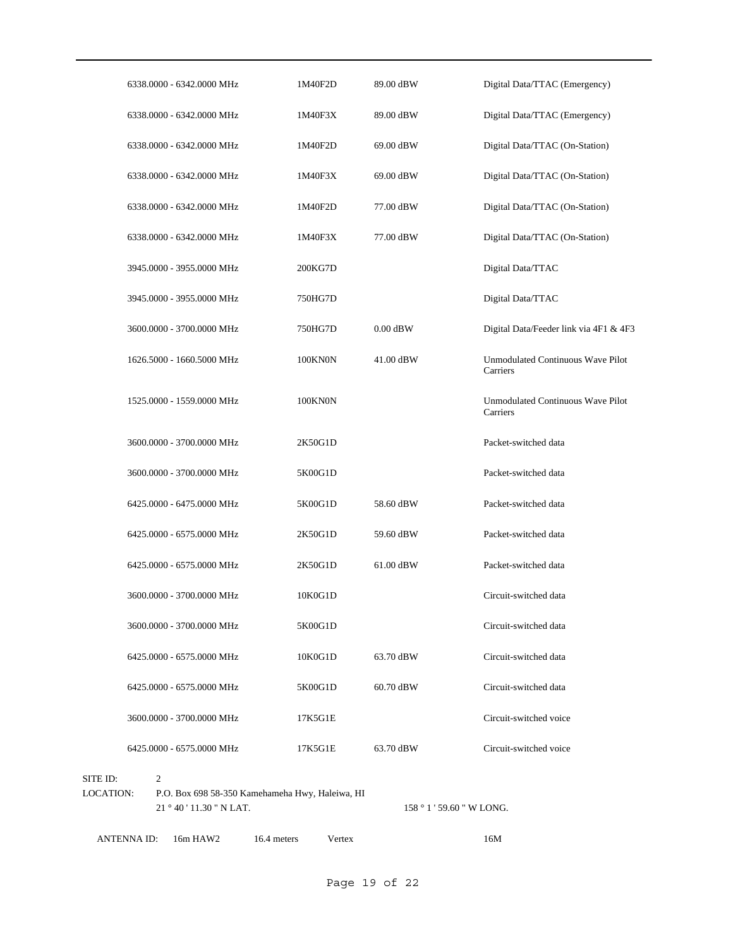|                              | 21 ° 40 ' 11.30 " N LAT.                             |         |            | $158°1'59.60''$ W LONG.                              |
|------------------------------|------------------------------------------------------|---------|------------|------------------------------------------------------|
| SITE ID:<br><b>LOCATION:</b> | 2<br>P.O. Box 698 58-350 Kamehameha Hwy, Haleiwa, HI |         |            |                                                      |
|                              | 6425.0000 - 6575.0000 MHz                            | 17K5G1E | 63.70 dBW  | Circuit-switched voice                               |
|                              | 3600.0000 - 3700.0000 MHz                            | 17K5G1E |            | Circuit-switched voice                               |
|                              | 6425.0000 - 6575.0000 MHz                            | 5K00G1D | 60.70 dBW  | Circuit-switched data                                |
|                              | 6425.0000 - 6575.0000 MHz                            | 10K0G1D | 63.70 dBW  | Circuit-switched data                                |
|                              | 3600.0000 - 3700.0000 MHz                            | 5K00G1D |            | Circuit-switched data                                |
|                              | 3600.0000 - 3700.0000 MHz                            | 10K0G1D |            | Circuit-switched data                                |
|                              | 6425.0000 - 6575.0000 MHz                            | 2K50G1D | 61.00 dBW  | Packet-switched data                                 |
|                              | 6425.0000 - 6575.0000 MHz                            | 2K50G1D | 59.60 dBW  | Packet-switched data                                 |
|                              | 6425.0000 - 6475.0000 MHz                            | 5K00G1D | 58.60 dBW  | Packet-switched data                                 |
|                              | 3600.0000 - 3700.0000 MHz                            | 5K00G1D |            | Packet-switched data                                 |
|                              | 3600.0000 - 3700.0000 MHz                            | 2K50G1D |            | Packet-switched data                                 |
|                              | 1525.0000 - 1559.0000 MHz                            | 100KN0N |            | <b>Unmodulated Continuous Wave Pilot</b><br>Carriers |
|                              | 1626.5000 - 1660.5000 MHz                            | 100KN0N | 41.00 dBW  | Unmodulated Continuous Wave Pilot<br>Carriers        |
|                              | 3600.0000 - 3700.0000 MHz                            | 750HG7D | $0.00$ dBW | Digital Data/Feeder link via 4F1 & 4F3               |
|                              | 3945.0000 - 3955.0000 MHz                            | 750HG7D |            | Digital Data/TTAC                                    |
|                              | 3945.0000 - 3955.0000 MHz                            | 200KG7D |            | Digital Data/TTAC                                    |
|                              | 6338.0000 - 6342.0000 MHz                            | 1M40F3X | 77.00 dBW  | Digital Data/TTAC (On-Station)                       |
|                              | 6338.0000 - 6342.0000 MHz                            | 1M40F2D | 77.00 dBW  | Digital Data/TTAC (On-Station)                       |
|                              | 6338.0000 - 6342.0000 MHz                            | 1M40F3X | 69.00 dBW  | Digital Data/TTAC (On-Station)                       |
|                              | 6338.0000 - 6342.0000 MHz                            | 1M40F2D | 69.00 dBW  | Digital Data/TTAC (On-Station)                       |
|                              | 6338.0000 - 6342.0000 MHz                            | 1M40F3X | 89.00 dBW  | Digital Data/TTAC (Emergency)                        |
|                              | 6338.0000 - 6342.0000 MHz                            | 1M40F2D | 89.00 dBW  | Digital Data/TTAC (Emergency)                        |
|                              |                                                      |         |            |                                                      |

ANTENNA ID: 16m HAW2 16.4 meters Vertex 16M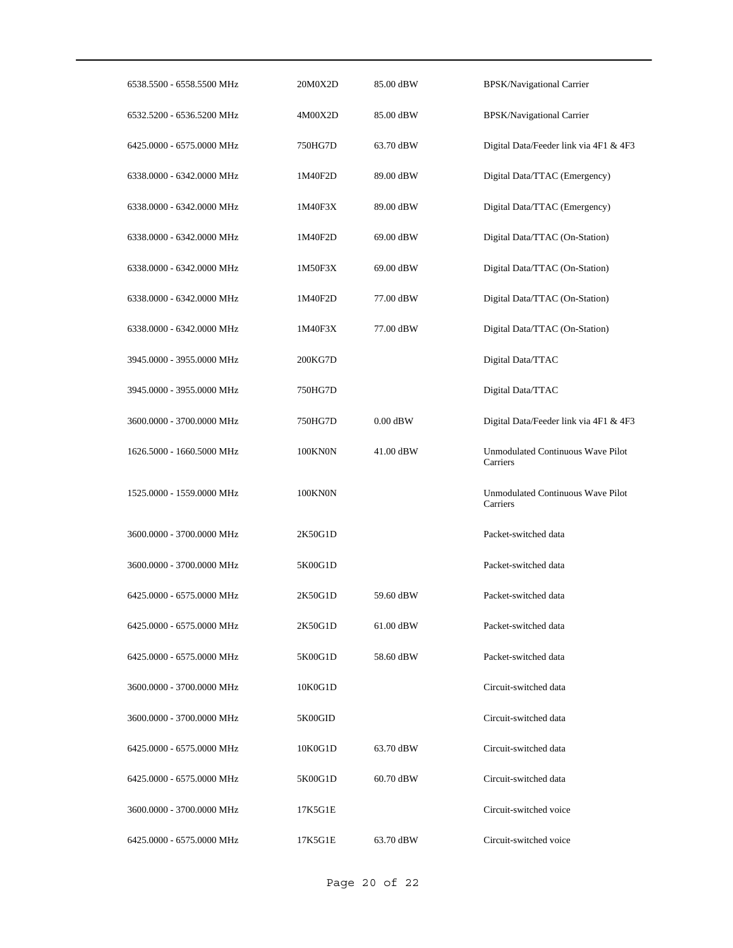| 6538.5500 - 6558.5500 MHz | 20M0X2D | 85.00 dBW  | <b>BPSK/Navigational Carrier</b>                     |
|---------------------------|---------|------------|------------------------------------------------------|
| 6532.5200 - 6536.5200 MHz | 4M00X2D | 85.00 dBW  | BPSK/Navigational Carrier                            |
| 6425.0000 - 6575.0000 MHz | 750HG7D | 63.70 dBW  | Digital Data/Feeder link via 4F1 & 4F3               |
| 6338.0000 - 6342.0000 MHz | 1M40F2D | 89.00 dBW  | Digital Data/TTAC (Emergency)                        |
| 6338.0000 - 6342.0000 MHz | 1M40F3X | 89.00 dBW  | Digital Data/TTAC (Emergency)                        |
| 6338.0000 - 6342.0000 MHz | 1M40F2D | 69.00 dBW  | Digital Data/TTAC (On-Station)                       |
| 6338.0000 - 6342.0000 MHz | 1M50F3X | 69.00 dBW  | Digital Data/TTAC (On-Station)                       |
| 6338.0000 - 6342.0000 MHz | 1M40F2D | 77.00 dBW  | Digital Data/TTAC (On-Station)                       |
| 6338.0000 - 6342.0000 MHz | 1M40F3X | 77.00 dBW  | Digital Data/TTAC (On-Station)                       |
| 3945.0000 - 3955.0000 MHz | 200KG7D |            | Digital Data/TTAC                                    |
| 3945.0000 - 3955.0000 MHz | 750HG7D |            | Digital Data/TTAC                                    |
| 3600.0000 - 3700.0000 MHz | 750HG7D | $0.00$ dBW | Digital Data/Feeder link via 4F1 & 4F3               |
| 1626.5000 - 1660.5000 MHz | 100KN0N | 41.00 dBW  | <b>Unmodulated Continuous Wave Pilot</b><br>Carriers |
| 1525.0000 - 1559.0000 MHz | 100KN0N |            | Unmodulated Continuous Wave Pilot<br>Carriers        |
| 3600.0000 - 3700.0000 MHz | 2K50G1D |            | Packet-switched data                                 |
| 3600.0000 - 3700.0000 MHz | 5K00G1D |            | Packet-switched data                                 |
| 6425.0000 - 6575.0000 MHz | 2K50G1D | 59.60 dBW  | Packet-switched data                                 |
| 6425.0000 - 6575.0000 MHz | 2K50G1D | 61.00 dBW  | Packet-switched data                                 |
| 6425.0000 - 6575.0000 MHz | 5K00G1D | 58.60 dBW  | Packet-switched data                                 |
| 3600.0000 - 3700.0000 MHz | 10K0G1D |            | Circuit-switched data                                |
| 3600.0000 - 3700.0000 MHz | 5K00GID |            | Circuit-switched data                                |
| 6425.0000 - 6575.0000 MHz | 10K0G1D | 63.70 dBW  | Circuit-switched data                                |
| 6425.0000 - 6575.0000 MHz | 5K00G1D | 60.70 dBW  | Circuit-switched data                                |
| 3600.0000 - 3700.0000 MHz | 17K5G1E |            | Circuit-switched voice                               |
| 6425.0000 - 6575.0000 MHz | 17K5G1E | 63.70 dBW  | Circuit-switched voice                               |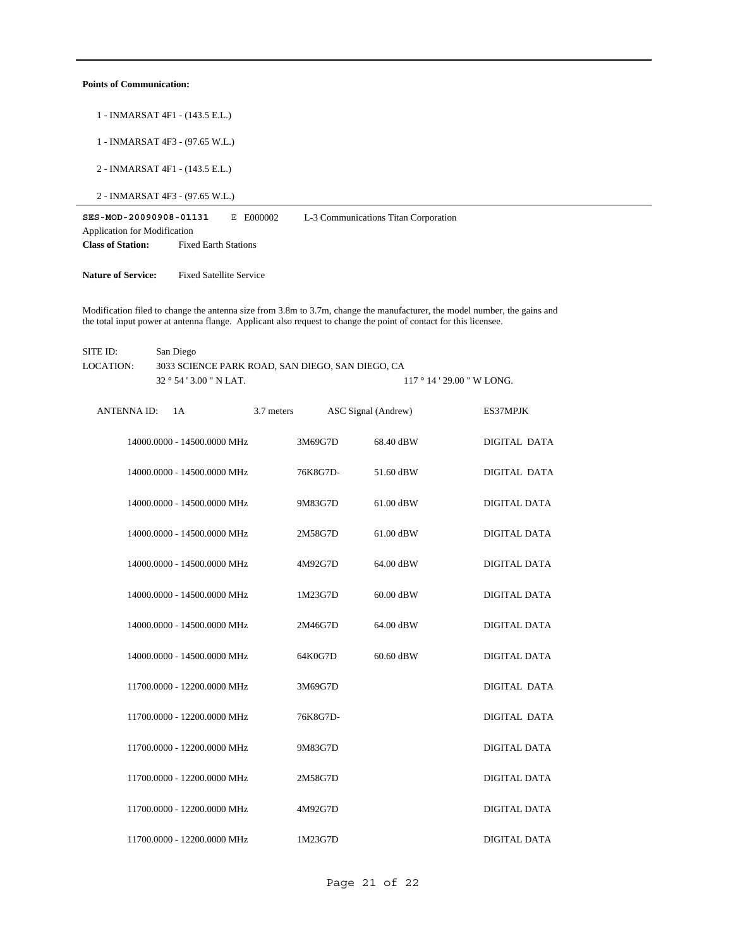#### **Points of Communication:**

- 1 INMARSAT 4F1 (143.5 E.L.)
- 1 INMARSAT 4F3 (97.65 W.L.)
- 2 INMARSAT 4F1 (143.5 E.L.)
- 2 INMARSAT 4F3 (97.65 W.L.)

**SES-MOD-20090908-01131** E E000002 **Class of Station:** Fixed Earth Stations Application for Modification L-3 Communications Titan Corporation

**Nature of Service:** Fixed Satellite Service

Modification filed to change the antenna size from 3.8m to 3.7m, change the manufacturer, the model number, the gains and the total input power at antenna flange. Applicant also request to change the point of contact for this licensee.

32 ° 54 ' 3.00 " N LAT. SITE ID: San Diego 3033 SCIENCE PARK ROAD, SAN DIEGO, SAN DIEGO, CA  $117$   $^{\circ}$   $14$  '  $29.00$  " W LONG. LOCATION:

| <b>ANTENNA ID:</b> | 1A                          | 3.7 meters | ASC Signal (Andrew) |           | ES37MPJK            |
|--------------------|-----------------------------|------------|---------------------|-----------|---------------------|
|                    | 14000.0000 - 14500.0000 MHz |            | 3M69G7D             | 68.40 dBW | DIGITAL DATA        |
|                    | 14000.0000 - 14500.0000 MHz |            | 76K8G7D-            | 51.60 dBW | DIGITAL DATA        |
|                    | 14000.0000 - 14500.0000 MHz |            | 9M83G7D             | 61.00 dBW | <b>DIGITAL DATA</b> |
|                    | 14000.0000 - 14500.0000 MHz |            | 2M58G7D             | 61.00 dBW | <b>DIGITAL DATA</b> |
|                    | 14000.0000 - 14500.0000 MHz |            | 4M92G7D             | 64.00 dBW | <b>DIGITAL DATA</b> |
|                    | 14000.0000 - 14500.0000 MHz |            | 1M23G7D             | 60.00 dBW | DIGITAL DATA        |
|                    | 14000.0000 - 14500.0000 MHz |            | 2M46G7D             | 64.00 dBW | DIGITAL DATA        |
|                    | 14000.0000 - 14500.0000 MHz |            | 64K0G7D             | 60.60 dBW | DIGITAL DATA        |
|                    | 11700.0000 - 12200.0000 MHz |            | 3M69G7D             |           | DIGITAL DATA        |
|                    | 11700.0000 - 12200.0000 MHz |            | 76K8G7D-            |           | <b>DIGITAL DATA</b> |
|                    | 11700.0000 - 12200.0000 MHz |            | 9M83G7D             |           | DIGITAL DATA        |
|                    | 11700.0000 - 12200.0000 MHz |            | 2M58G7D             |           | DIGITAL DATA        |
|                    | 11700.0000 - 12200.0000 MHz |            | 4M92G7D             |           | DIGITAL DATA        |
|                    | 11700.0000 - 12200.0000 MHz |            | 1M23G7D             |           | DIGITAL DATA        |